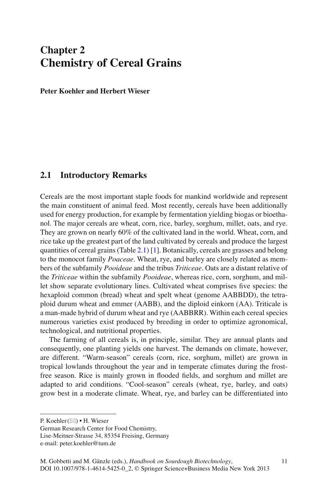# <span id="page-0-0"></span> **Chapter 2 Chemistry of Cereal Grains**

 **Peter Koehler and Herbert Wieser** 

# **2.1 Introductory Remarks**

 Cereals are the most important staple foods for mankind worldwide and represent the main constituent of animal feed. Most recently, cereals have been additionally used for energy production, for example by fermentation yielding biogas or bioethanol. The major cereals are wheat, corn, rice, barley, sorghum, millet, oats, and rye. They are grown on nearly 60% of the cultivated land in the world. Wheat, corn, and rice take up the greatest part of the land cultivated by cereals and produce the largest quantities of cereal grains (Table 2.1) [1]. Botanically, cereals are grasses and belong to the monocot family *Poaceae* . Wheat, rye, and barley are closely related as members of the subfamily *Pooideae* and the tribus *Triticeae* . Oats are a distant relative of the *Triticeae* within the subfamily *Pooideae* , whereas rice, corn, sorghum, and millet show separate evolutionary lines. Cultivated wheat comprises five species: the hexaploid common (bread) wheat and spelt wheat (genome AABBDD), the tetraploid durum wheat and emmer (AABB), and the diploid einkorn (AA). Triticale is a man-made hybrid of durum wheat and rye (AABBRR). Within each cereal species numerous varieties exist produced by breeding in order to optimize agronomical, technological, and nutritional properties.

 The farming of all cereals is, in principle, similar. They are annual plants and consequently, one planting yields one harvest. The demands on climate, however, are different. "Warm-season" cereals (corn, rice, sorghum, millet) are grown in tropical lowlands throughout the year and in temperate climates during the frostfree season. Rice is mainly grown in flooded fields, and sorghum and millet are adapted to arid conditions. "Cool-season" cereals (wheat, rye, barley, and oats) grow best in a moderate climate. Wheat, rye, and barley can be differentiated into

P. Koehler (⊠) • H. Wieser

German Research Center for Food Chemistry,

Lise-Meitner-Strasse 34, 85354 Freising, Germany

e-mail: peter.koehler@tum.de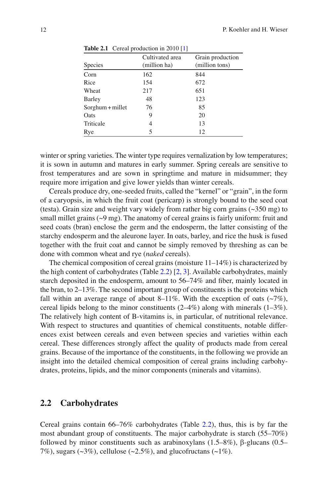| <b>Species</b>     | Cultivated area<br>(million ha) | Grain production<br>(million tons) |
|--------------------|---------------------------------|------------------------------------|
| Corn               | 162                             | 844                                |
| Rice               | 154                             | 672                                |
| Wheat              | 217                             | 651                                |
| Barley             | 48                              | 123                                |
| $Sorghum + millet$ | 76                              | 85                                 |
| Oats               | 9                               | 20                                 |
| Triticale          | 4                               | 13                                 |
| Rye                | 5                               | 12                                 |

<span id="page-1-0"></span>**Table 2.1** Cereal production in 2010 [1]

winter or spring varieties. The winter type requires vernalization by low temperatures; it is sown in autumn and matures in early summer. Spring cereals are sensitive to frost temperatures and are sown in springtime and mature in midsummer; they require more irrigation and give lower yields than winter cereals.

 Cereals produce dry, one-seeded fruits, called the "kernel" or "grain", in the form of a caryopsis, in which the fruit coat (pericarp) is strongly bound to the seed coat (testa). Grain size and weight vary widely from rather big corn grains (~350 mg) to small millet grains  $(\sim 9 \text{ mg})$ . The anatomy of cereal grains is fairly uniform: fruit and seed coats (bran) enclose the germ and the endosperm, the latter consisting of the starchy endosperm and the aleurone layer. In oats, barley, and rice the husk is fused together with the fruit coat and cannot be simply removed by threshing as can be done with common wheat and rye ( *naked* cereals).

 The chemical composition of cereal grains (moisture 11–14%) is characterized by the high content of carbohydrates (Table [2.2](#page-2-0))  $[2, 3]$ . Available carbohydrates, mainly starch deposited in the endosperm, amount to 56–74% and fiber, mainly located in the bran, to 2–13%. The second important group of constituents is the proteins which fall within an average range of about 8–11%. With the exception of oats  $(\sim 7\%)$ , cereal lipids belong to the minor constituents  $(2-4\%)$  along with minerals  $(1-3\%)$ . The relatively high content of B-vitamins is, in particular, of nutritional relevance. With respect to structures and quantities of chemical constituents, notable differences exist between cereals and even between species and varieties within each cereal. These differences strongly affect the quality of products made from cereal grains. Because of the importance of the constituents, in the following we provide an insight into the detailed chemical composition of cereal grains including carbohydrates, proteins, lipids, and the minor components (minerals and vitamins).

# **2.2 Carbohydrates**

Cereal grains contain  $66-76\%$  carbohydrates (Table 2.2), thus, this is by far the most abundant group of constituents. The major carbohydrate is starch (55–70%) followed by minor constituents such as arabinoxylans  $(1.5-8\%)$ ,  $\beta$ -glucans  $(0.5-$ 7%), sugars  $(\sim 3\%)$ , cellulose  $(\sim 2.5\%)$ , and glucofructans  $(\sim 1\%)$ .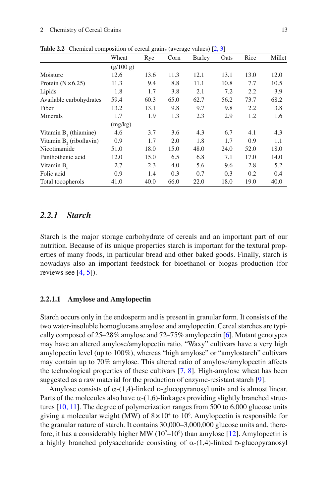#### <span id="page-2-0"></span>2 Chemistry of Cereal Grains 13

|                                     | Wheat     | Rye  | Corn | Barley | Oats | Rice | Millet |
|-------------------------------------|-----------|------|------|--------|------|------|--------|
|                                     | (g/100 g) |      |      |        |      |      |        |
| Moisture                            | 12.6      | 13.6 | 11.3 | 12.1   | 13.1 | 13.0 | 12.0   |
| Protein $(N \times 6.25)$           | 11.3      | 9.4  | 8.8  | 11.1   | 10.8 | 7.7  | 10.5   |
| Lipids                              | 1.8       | 1.7  | 3.8  | 2.1    | 7.2  | 2.2  | 3.9    |
| Available carbohydrates             | 59.4      | 60.3 | 65.0 | 62.7   | 56.2 | 73.7 | 68.2   |
| Fiber                               | 13.2      | 13.1 | 9.8  | 9.7    | 9.8  | 2.2  | 3.8    |
| Minerals                            | 1.7       | 1.9  | 1.3  | 2.3    | 2.9  | 1.2  | 1.6    |
|                                     | (mg/kg)   |      |      |        |      |      |        |
| Vitamin $B_1$ (thiamine)            | 4.6       | 3.7  | 3.6  | 4.3    | 6.7  | 4.1  | 4.3    |
| Vitamin B <sub>2</sub> (riboflavin) | 0.9       | 1.7  | 2.0  | 1.8    | 1.7  | 0.9  | 1.1    |
| Nicotinamide                        | 51.0      | 18.0 | 15.0 | 48.0   | 24.0 | 52.0 | 18.0   |
| Panthothenic acid                   | 12.0      | 15.0 | 6.5  | 6.8    | 7.1  | 17.0 | 14.0   |
| Vitamin $Bc$                        | 2.7       | 2.3  | 4.0  | 5.6    | 9.6  | 2.8  | 5.2    |
| Folic acid                          | 0.9       | 1.4  | 0.3  | 0.7    | 0.3  | 0.2  | 0.4    |
| Total tocopherols                   | 41.0      | 40.0 | 66.0 | 22.0   | 18.0 | 19.0 | 40.0   |

**Table 2.2** Chemical composition of cereal grains (average values) [2, 3]

### *2.2.1 Starch*

 Starch is the major storage carbohydrate of cereals and an important part of our nutrition. Because of its unique properties starch is important for the textural properties of many foods, in particular bread and other baked goods. Finally, starch is nowadays also an important feedstock for bioethanol or biogas production (for reviews see  $[4, 5]$ ).

### **2.2.1.1 Amylose and Amylopectin**

 Starch occurs only in the endosperm and is present in granular form. It consists of the two water-insoluble homoglucans amylose and amylopectin. Cereal starches are typically composed of  $25-28\%$  amylose and  $72-75\%$  amylopectin [6]. Mutant genotypes may have an altered amylose/amylopectin ratio. "Waxy" cultivars have a very high amylopectin level (up to 100%), whereas "high amylose" or "amylostarch" cultivars may contain up to 70% amylose. This altered ratio of amylose/amylopectin affects the technological properties of these cultivars  $[7, 8]$ . High-amylose wheat has been suggested as a raw material for the production of enzyme-resistant starch [9].

Amylose consists of  $\alpha$ -(1,4)-linked D-glucopyranosyl units and is almost linear. Parts of the molecules also have  $\alpha$ -(1,6)-linkages providing slightly branched structures  $[10, 11]$ . The degree of polymerization ranges from 500 to 6,000 glucose units giving a molecular weight (MW) of  $8 \times 10^4$  to  $10^6$ . Amylopectin is responsible for the granular nature of starch. It contains 30,000–3,000,000 glucose units and, therefore, it has a considerably higher MW  $(10<sup>7</sup>-10<sup>9</sup>)$  than amylose [12]. Amylopectin is a highly branched polysaccharide consisting of  $\alpha$ -(1,4)-linked D-glucopyranosyl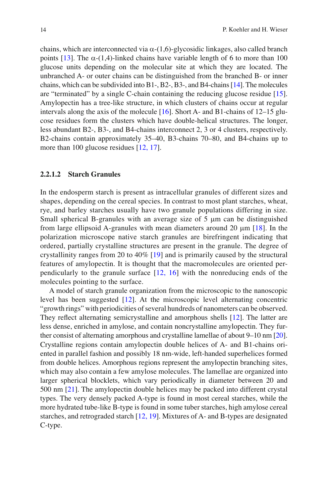chains, which are interconnected via  $\alpha$ -(1,6)-glycosidic linkages, also called branch points [13]. The  $\alpha$ -(1,4)-linked chains have variable length of 6 to more than 100 glucose units depending on the molecular site at which they are located. The unbranched A- or outer chains can be distinguished from the branched B- or inner chains, which can be subdivided into  $B1$ -,  $B2$ -,  $B3$ -, and  $B4$ -chains [14]. The molecules are "terminated" by a single C-chain containing the reducing glucose residue  $[15]$ . Amylopectin has a tree-like structure, in which clusters of chains occur at regular intervals along the axis of the molecule  $[16]$ . Short A- and B1-chains of  $12-15$  glucose residues form the clusters which have double-helical structures. The longer, less abundant B2-, B3-, and B4-chains interconnect 2, 3 or 4 clusters, respectively. B2-chains contain approximately 35–40, B3-chains 70–80, and B4-chains up to more than 100 glucose residues [12, 17].

### **2.2.1.2 Starch Granules**

 In the endosperm starch is present as intracellular granules of different sizes and shapes, depending on the cereal species. In contrast to most plant starches, wheat, rye, and barley starches usually have two granule populations differing in size. Small spherical B-granules with an average size of  $5 \mu m$  can be distinguished from large ellipsoid A-granules with mean diameters around 20  $\mu$ m [18]. In the polarization microscope native starch granules are birefringent indicating that ordered, partially crystalline structures are present in the granule. The degree of crystallinity ranges from 20 to  $40\%$  [19] and is primarily caused by the structural features of amylopectin. It is thought that the macromolecules are oriented perpendicularly to the granule surface  $[12, 16]$  with the nonreducing ends of the molecules pointing to the surface.

 A model of starch granule organization from the microscopic to the nanoscopic level has been suggested  $[12]$ . At the microscopic level alternating concentric "growth rings" with periodicities of several hundreds of nanometers can be observed. They reflect alternating semicrystalline and amorphous shells  $[12]$ . The latter are less dense, enriched in amylose, and contain noncrystalline amylopectin. They further consist of alternating amorphous and crystalline lamellae of about  $9-10$  nm  $[20]$ . Crystalline regions contain amylopectin double helices of A- and B1-chains oriented in parallel fashion and possibly 18 nm-wide, left-handed superhelices formed from double helices. Amorphous regions represent the amylopectin branching sites, which may also contain a few amylose molecules. The lamellae are organized into larger spherical blocklets, which vary periodically in diameter between 20 and 500 nm  $[21]$ . The amylopectin double helices may be packed into different crystal types. The very densely packed A-type is found in most cereal starches, while the more hydrated tube-like B-type is found in some tuber starches, high amylose cereal starches, and retrograded starch  $[12, 19]$ . Mixtures of A- and B-types are designated C-type.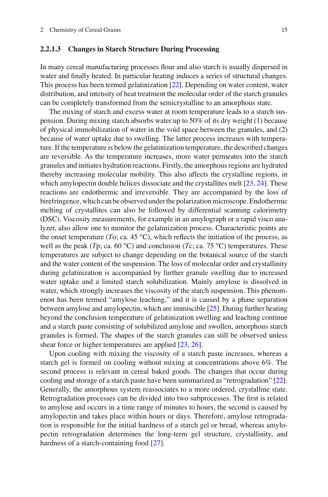### **2.2.1.3 Changes in Starch Structure During Processing**

In many cereal manufacturing processes flour and also starch is usually dispersed in water and finally heated. In particular heating induces a series of structural changes. This process has been termed gelatinization [22]. Depending on water content, water distribution, and intensity of heat treatment the molecular order of the starch granules can be completely transformed from the semicrystalline to an amorphous state.

 The mixing of starch and excess water at room temperature leads to a starch suspension. During mixing starch absorbs water up to 50% of its dry weight (1) because of physical immobilization of water in the void space between the granules, and (2) because of water uptake due to swelling. The latter process increases with temperature. If the temperature is below the gelatinization temperature, the described changes are reversible. As the temperature increases, more water permeates into the starch granules and initiates hydration reactions. Firstly, the amorphous regions are hydrated thereby increasing molecular mobility. This also affects the crystalline regions, in which amylopectin double helices dissociate and the crystallites melt  $[23, 24]$ . These reactions are endothermic and irreversible. They are accompanied by the loss of birefringence, which can be observed under the polarization microscope. Endothermic melting of crystallites can also be followed by differential scanning calorimetry (DSC). Viscosity measurements, for example in an amylograph or a rapid visco analyzer, also allow one to monitor the gelatinization process. Characteristic points are the onset temperature (*T*<sub>0</sub>; ca. 45  $^{\circ}$ C), which reflects the initiation of the process, as well as the peak (*T* $p$ ; ca. 60 °C) and conclusion (*T* $c$ ; ca. 75 °C) temperatures. These temperatures are subject to change depending on the botanical source of the starch and the water content of the suspension. The loss of molecular order and crystallinity during gelatinization is accompanied by further granule swelling due to increased water uptake and a limited starch solubilization. Mainly amylose is dissolved in water, which strongly increases the viscosity of the starch suspension. This phenomenon has been termed "amylose leaching," and it is caused by a phase separation between amylose and amylopectin, which are immiscible [25]. During further heating beyond the conclusion temperature of gelatinization swelling and leaching continue and a starch paste consisting of solubilized amylose and swollen, amorphous starch granules is formed. The shapes of the starch granules can still be observed unless shear force or higher temperatures are applied [23, 26].

 Upon cooling with mixing the viscosity of a starch paste increases, whereas a starch gel is formed on cooling without mixing at concentrations above 6%. The second process is relevant in cereal baked goods. The changes that occur during cooling and storage of a starch paste have been summarized as "retrogradation" [22]. Generally, the amorphous system reassociates to a more ordered, crystalline state. Retrogradation processes can be divided into two subprocesses. The first is related to amylose and occurs in a time range of minutes to hours, the second is caused by amylopectin and takes place within hours or days. Therefore, amylose retrogradation is responsible for the initial hardness of a starch gel or bread, whereas amylopectin retrogradation determines the long-term gel structure, crystallinity, and hardness of a starch-containing food [27].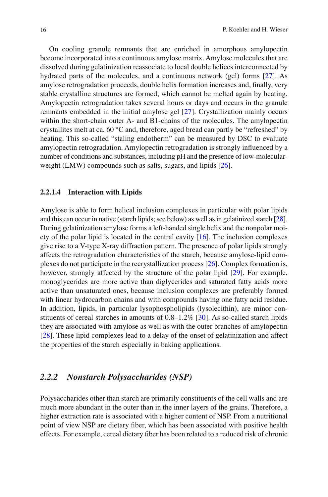On cooling granule remnants that are enriched in amorphous amylopectin become incorporated into a continuous amylose matrix. Amylose molecules that are dissolved during gelatinization reassociate to local double helices interconnected by hydrated parts of the molecules, and a continuous network (gel) forms [27]. As amylose retrogradation proceeds, double helix formation increases and, finally, very stable crystalline structures are formed, which cannot be melted again by heating. Amylopectin retrogradation takes several hours or days and occurs in the granule remnants embedded in the initial amylose gel [ [27 \]](#page-30-0) . Crystallization mainly occurs within the short-chain outer A- and B1-chains of the molecules. The amylopectin crystallites melt at ca. 60 °C and, therefore, aged bread can partly be "refreshed" by heating. This so-called "staling endotherm" can be measured by DSC to evaluate amylopectin retrogradation. Amylopectin retrogradation is strongly influenced by a number of conditions and substances, including pH and the presence of low-molecularweight (LMW) compounds such as salts, sugars, and lipids [26].

#### **2.2.1.4 Interaction with Lipids**

 Amylose is able to form helical inclusion complexes in particular with polar lipids and this can occur in native (starch lipids; see below) as well as in gelatinized starch [28]. During gelatinization amylose forms a left-handed single helix and the nonpolar moiety of the polar lipid is located in the central cavity  $[16]$ . The inclusion complexes give rise to a V-type X-ray diffraction pattern. The presence of polar lipids strongly affects the retrogradation characteristics of the starch, because amylose-lipid complexes do not participate in the recrystallization process  $[26]$ . Complex formation is, however, strongly affected by the structure of the polar lipid [29]. For example, monoglycerides are more active than diglycerides and saturated fatty acids more active than unsaturated ones, because inclusion complexes are preferably formed with linear hydrocarbon chains and with compounds having one fatty acid residue. In addition, lipids, in particular lysophospholipids (lysolecithin), are minor constituents of cereal starches in amounts of  $0.8-1.2\%$  [30]. As so-called starch lipids they are associated with amylose as well as with the outer branches of amylopectin [28]. These lipid complexes lead to a delay of the onset of gelatinization and affect the properties of the starch especially in baking applications.

### *2.2.2 Nonstarch Polysaccharides (NSP)*

 Polysaccharides other than starch are primarily constituents of the cell walls and are much more abundant in the outer than in the inner layers of the grains. Therefore, a higher extraction rate is associated with a higher content of NSP. From a nutritional point of view NSP are dietary fiber, which has been associated with positive health effects. For example, cereal dietary fiber has been related to a reduced risk of chronic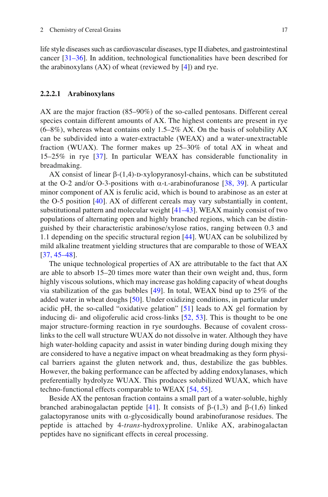life style diseases such as cardiovascular diseases, type II diabetes, and gastrointestinal cancer  $[31–36]$ . In addition, technological functionalities have been described for the arabinoxylans  $(AX)$  of wheat (reviewed by  $[4]$ ) and rye.

#### **2.2.2.1 Arabinoxylans**

 AX are the major fraction (85–90%) of the so-called pentosans. Different cereal species contain different amounts of AX. The highest contents are present in rye  $(6–8\%)$ , whereas wheat contains only 1.5–2% AX. On the basis of solubility AX can be subdivided into a water-extractable (WEAX) and a water-unextractable fraction (WUAX). The former makes up 25–30% of total AX in wheat and  $15-25\%$  in rye [37]. In particular WEAX has considerable functionality in breadmaking.

AX consist of linear  $\beta$ -(1,4)-D-xylopyranosyl-chains, which can be substituted at the O-2 and/or O-3-positions with  $\alpha$ -L-arabinofuranose [38, 39]. A particular minor component of AX is ferulic acid, which is bound to arabinose as an ester at the  $O-5$  position  $[40]$ . AX of different cereals may vary substantially in content, substitutional pattern and molecular weight [41–43]. WEAX mainly consist of two populations of alternating open and highly branched regions, which can be distinguished by their characteristic arabinose/xylose ratios, ranging between 0.3 and 1.1 depending on the specific structural region  $[44]$ . WUAX can be solubilized by mild alkaline treatment yielding structures that are comparable to those of WEAX  $[37, 45 - 48]$ .

 The unique technological properties of AX are attributable to the fact that AX are able to absorb 15–20 times more water than their own weight and, thus, form highly viscous solutions, which may increase gas holding capacity of wheat doughs via stabilization of the gas bubbles  $[49]$ . In total, WEAX bind up to 25% of the added water in wheat doughs [50]. Under oxidizing conditions, in particular under acidic pH, the so-called "oxidative gelation"  $[51]$  leads to AX gel formation by inducing di- and oligoferulic acid cross-links  $[52, 53]$ . This is thought to be one major structure-forming reaction in rye sourdoughs. Because of covalent crosslinks to the cell wall structure WUAX do not dissolve in water. Although they have high water-holding capacity and assist in water binding during dough mixing they are considered to have a negative impact on wheat breadmaking as they form physical barriers against the gluten network and, thus, destabilize the gas bubbles. However, the baking performance can be affected by adding endoxylanases, which preferentially hydrolyze WUAX. This produces solubilized WUAX, which have techno-functional effects comparable to WEAX [54, 55].

 Beside AX the pentosan fraction contains a small part of a water-soluble, highly branched arabinogalactan peptide [41]. It consists of  $\beta$ -(1,3) and  $\beta$ -(1,6) linked galactopyranose units with  $\alpha$ -glycosidically bound arabinofuranose residues. The peptide is attached by 4- *trans* -hydroxyproline. Unlike AX, arabinogalactan peptides have no significant effects in cereal processing.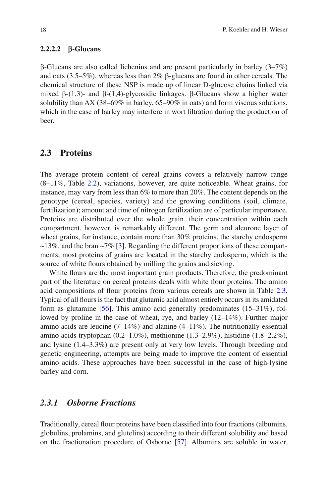### **2.2.2.2 b -Glucans**

 $\beta$ -Glucans are also called lichenins and are present particularly in barley (3–7%) and oats (3.5–5%), whereas less than  $2\%$   $\beta$ -glucans are found in other cereals. The chemical structure of these NSP is made up of linear D-glucose chains linked via mixed  $\beta$ -(1,3)- and  $\beta$ -(1,4)-glycosidic linkages.  $\beta$ -Glucans show a higher water solubility than AX (38–69% in barley, 65–90% in oats) and form viscous solutions, which in the case of barley may interfere in wort filtration during the production of beer.

### **2.3 Proteins**

 The average protein content of cereal grains covers a relatively narrow range  $(8-11\%$ , Table 2.2), variations, however, are quite noticeable. Wheat grains, for instance, may vary from less than 6% to more than 20%. The content depends on the genotype (cereal, species, variety) and the growing conditions (soil, climate, fertilization); amount and time of nitrogen fertilization are of particular importance. Proteins are distributed over the whole grain, their concentration within each compartment, however, is remarkably different. The germ and aleurone layer of wheat grains, for instance, contain more than 30% proteins, the starchy endosperm  $\sim$ 13%, and the bran  $\sim$ 7% [3]. Regarding the different proportions of these compartments, most proteins of grains are located in the starchy endosperm, which is the source of white flours obtained by milling the grains and sieving.

White flours are the most important grain products. Therefore, the predominant part of the literature on cereal proteins deals with white flour proteins. The amino acid compositions of flour proteins from various cereals are shown in Table [2.3](#page-8-0). Typical of all flours is the fact that glutamic acid almost entirely occurs in its amidated form as glutamine [56]. This amino acid generally predominates  $(15-31\%)$ , followed by proline in the case of wheat, rye, and barley (12–14%). Further major amino acids are leucine  $(7-14\%)$  and alanine  $(4-11\%)$ . The nutritionally essential amino acids tryptophan  $(0.2-1.0\%)$ , methionine  $(1.3-2.9\%)$ , histidine  $(1.8-2.2\%)$ , and lysine (1.4–3.3%) are present only at very low levels. Through breeding and genetic engineering, attempts are being made to improve the content of essential amino acids. These approaches have been successful in the case of high-lysine barley and corn.

# *2.3.1 Osborne Fractions*

Traditionally, cereal flour proteins have been classified into four fractions (albumins, globulins, prolamins, and glutelins) according to their different solubility and based on the fractionation procedure of Osborne [57]. Albumins are soluble in water,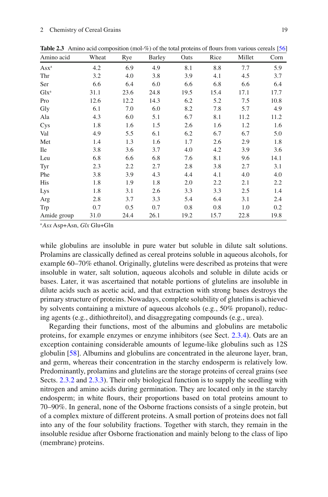| Amino acid         | Wheat | Rye  | Barley | Oats | Rice | Millet | Corn |
|--------------------|-------|------|--------|------|------|--------|------|
| $\mathrm{A} s x^a$ | 4.2   | 6.9  | 4.9    | 8.1  | 8.8  | 7.7    | 5.9  |
| Thr                | 3.2   | 4.0  | 3.8    | 3.9  | 4.1  | 4.5    | 3.7  |
| Ser                | 6.6   | 6.4  | 6.0    | 6.6  | 6.8  | 6.6    | 6.4  |
| $Glx^a$            | 31.1  | 23.6 | 24.8   | 19.5 | 15.4 | 17.1   | 17.7 |
| Pro                | 12.6  | 12.2 | 14.3   | 6.2  | 5.2  | 7.5    | 10.8 |
| Gly                | 6.1   | 7.0  | 6.0    | 8.2  | 7.8  | 5.7    | 4.9  |
| Ala                | 4.3   | 6.0  | 5.1    | 6.7  | 8.1  | 11.2   | 11.2 |
| Cys                | 1.8   | 1.6  | 1.5    | 2.6  | 1.6  | 1.2    | 1.6  |
| Val                | 4.9   | 5.5  | 6.1    | 6.2  | 6.7  | 6.7    | 5.0  |
| Met                | 1.4   | 1.3  | 1.6    | 1.7  | 2.6  | 2.9    | 1.8  |
| <b>Ile</b>         | 3.8   | 3.6  | 3.7    | 4.0  | 4.2  | 3.9    | 3.6  |
| Leu                | 6.8   | 6.6  | 6.8    | 7.6  | 8.1  | 9.6    | 14.1 |
| Tyr                | 2.3   | 2.2  | 2.7    | 2.8  | 3.8  | 2.7    | 3.1  |
| Phe                | 3.8   | 3.9  | 4.3    | 4.4  | 4.1  | 4.0    | 4.0  |
| His                | 1.8   | 1.9  | 1.8    | 2.0  | 2.2  | 2.1    | 2.2  |
| Lys                | 1.8   | 3.1  | 2.6    | 3.3  | 3.3  | 2.5    | 1.4  |
| Arg                | 2.8   | 3.7  | 3.3    | 5.4  | 6.4  | 3.1    | 2.4  |
| Trp                | 0.7   | 0.5  | 0.7    | 0.8  | 0.8  | 1.0    | 0.2  |
| Amide group        | 31.0  | 24.4 | 26.1   | 19.2 | 15.7 | 22.8   | 19.8 |

<span id="page-8-0"></span>**Table 2.3** Amino acid composition (mol-%) of the total proteins of flours from various cereals [56]

a*Asx* Asp+Asn, *Glx* Glu+Gln

while globulins are insoluble in pure water but soluble in dilute salt solutions. Prolamins are classically defined as cereal proteins soluble in aqueous alcohols, for example 60–70% ethanol. Originally, glutelins were described as proteins that were insoluble in water, salt solution, aqueous alcohols and soluble in dilute acids or bases. Later, it was ascertained that notable portions of glutelins are insoluble in dilute acids such as acetic acid, and that extraction with strong bases destroys the primary structure of proteins. Nowadays, complete solubility of glutelins is achieved by solvents containing a mixture of aqueous alcohols (e.g., 50% propanol), reducing agents (e.g., dithiothreitol), and disaggregating compounds (e.g., urea).

 Regarding their functions, most of the albumins and globulins are metabolic proteins, for example enzymes or enzyme inhibitors (see Sect. [2.3.4](#page-23-0)). Oats are an exception containing considerable amounts of legume-like globulins such as 12S globulin [\[ 58](#page-31-0) ] . Albumins and globulins are concentrated in the aleurone layer, bran, and germ, whereas their concentration in the starchy endosperm is relatively low. Predominantly, prolamins and glutelins are the storage proteins of cereal grains (see Sects. [2.3.2](#page-9-0) and [2.3.3](#page-22-0)). Their only biological function is to supply the seedling with nitrogen and amino acids during germination. They are located only in the starchy endosperm; in white flours, their proportions based on total proteins amount to 70–90%. In general, none of the Osborne fractions consists of a single protein, but of a complex mixture of different proteins. A small portion of proteins does not fall into any of the four solubility fractions. Together with starch, they remain in the insoluble residue after Osborne fractionation and mainly belong to the class of lipo (membrane) proteins.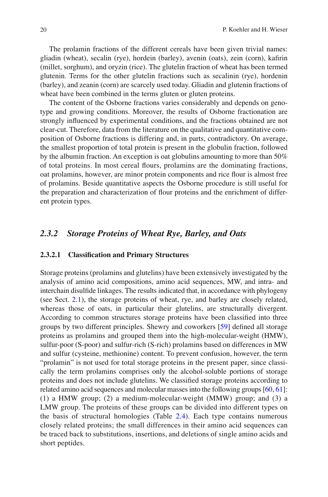<span id="page-9-0"></span> The prolamin fractions of the different cereals have been given trivial names: gliadin (wheat), secalin (rye), hordein (barley), avenin (oats), zein (corn), kafirin (millet, sorghum), and oryzin (rice). The glutelin fraction of wheat has been termed glutenin. Terms for the other glutelin fractions such as secalinin (rye), hordenin (barley), and zeanin (corn) are scarcely used today. Gliadin and glutenin fractions of wheat have been combined in the terms gluten or gluten proteins.

 The content of the Osborne fractions varies considerably and depends on genotype and growing conditions. Moreover, the results of Osborne fractionation are strongly influenced by experimental conditions, and the fractions obtained are not clear-cut. Therefore, data from the literature on the qualitative and quantitative composition of Osborne fractions is differing and, in parts, contradictory. On average, the smallest proportion of total protein is present in the globulin fraction, followed by the albumin fraction. An exception is oat globulins amounting to more than 50% of total proteins. In most cereal flours, prolamins are the dominating fractions, oat prolamins, however, are minor protein components and rice flour is almost free of prolamins. Beside quantitative aspects the Osborne procedure is still useful for the preparation and characterization of flour proteins and the enrichment of different protein types.

# *2.3.2 Storage Proteins of Wheat Rye, Barley, and Oats*

#### **2.3.2.1 Classification and Primary Structures**

 Storage proteins (prolamins and glutelins) have been extensively investigated by the analysis of amino acid compositions, amino acid sequences, MW, and intra- and interchain disulfide linkages. The results indicated that, in accordance with phylogeny (see Sect. [2.1](#page-0-0)), the storage proteins of wheat, rye, and barley are closely related, whereas those of oats, in particular their glutelins, are structurally divergent. According to common structures storage proteins have been classified into three groups by two different principles. Shewry and coworkers [59] defined all storage proteins as prolamins and grouped them into the high-molecular-weight (HMW), sulfur-poor (S-poor) and sulfur-rich (S-rich) prolamins based on differences in MW and sulfur (cysteine, methionine) content. To prevent confusion, however, the term "prolamin" is not used for total storage proteins in the present paper, since classically the term prolamins comprises only the alcohol-soluble portions of storage proteins and does not include glutelins. We classified storage proteins according to related amino acid sequences and molecular masses into the following groups [60, 61]: (1) a HMW group; (2) a medium-molecular-weight (MMW) group; and (3) a LMW group. The proteins of these groups can be divided into different types on the basis of structural homologies (Table [2.4 \)](#page-10-0). Each type contains numerous closely related proteins; the small differences in their amino acid sequences can be traced back to substitutions, insertions, and deletions of single amino acids and short peptides.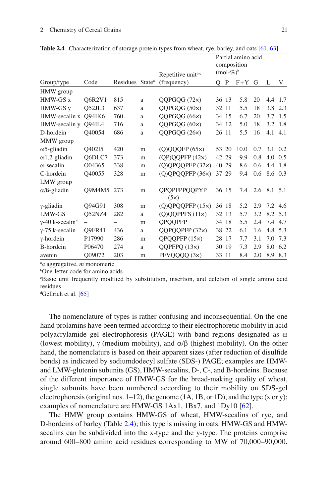|                                     |                    |                             |   | Repetitive unit <sup>b,c</sup> | Partial amino acid<br>composition<br>$(mol-%)^b$ |       |         |     |     |                 |
|-------------------------------------|--------------------|-----------------------------|---|--------------------------------|--------------------------------------------------|-------|---------|-----|-----|-----------------|
| Group/type                          | Code               | Residues State <sup>a</sup> |   | (frequency)                    | Q                                                | P     | $F+Y$ G |     | L   | V               |
| HMW group                           |                    |                             |   |                                |                                                  |       |         |     |     |                 |
| HMW-GS x                            | Q6R2V1             | 815                         | a | QQPGQG (72x)                   |                                                  | 36 13 | 5.8     | 20  |     | 4.4 1.7         |
| HMW-GS v                            | O52JL3             | 637                         | a | OOPGOG $(50x)$                 |                                                  | 32 11 | 5.5     | 18  |     | 3.8 2.3         |
| HMW-secalin x                       | <b>O94IK6</b>      | 760                         | a | QQPGQG (66x)                   |                                                  | 34 15 | 6.7     | 20  | 3.7 | 1.5             |
| HMW-secalin y                       | O94IL4             | 716                         | a | QQPGQG (60x)                   |                                                  | 34 12 | 5.0     | 18  | 3.2 | 1.8             |
| D-hordein                           | O40054             | 686                         | a | QQPGQG (26×)                   |                                                  | 26 11 | 5.5     | 16  |     | $4.1 \quad 4.1$ |
| MMW group                           |                    |                             |   |                                |                                                  |       |         |     |     |                 |
| $\omega$ 5-gliadin                  | O <sub>40215</sub> | 420                         | m | (Q)QQQFP(65x)                  |                                                  | 53 20 | 10.0    | 0.7 |     | $3.1 \quad 0.2$ |
| $\omega$ 1,2-gliadin                | O6DLC7             | 373                         | m | (QP)QQPFP(42x)                 |                                                  | 42 29 | 9.9     | 0.8 | 4.0 | 0.5             |
| $\omega$ -secalin                   | O04365             | 338                         | m | (Q)QPQQPFP (32×)               |                                                  | 40 29 | 8.6     | 0.6 | 4.4 | 1.8             |
| C-hordein                           | Q40055             | 328                         | m | $(Q)$ QPQQPFP $(36x)$          |                                                  | 37 29 | 9.4     | 0.6 |     | 8.6 0.3         |
| LMW group                           |                    |                             |   |                                |                                                  |       |         |     |     |                 |
| $\alpha$ /ß-gliadin                 | O9M4M5             | 273                         | m | QPQPFPPQQPYP<br>(5x)           |                                                  | 36 15 | 7.4     | 2.6 |     | 8.1 5.1         |
| $\gamma$ -gliadin                   | Q94G91             | 308                         | m | $(Q)$ QPQQPFP $(15x)$          |                                                  | 36 18 | 5.2     | 2.9 |     | 7.2 4.6         |
| LMW-GS                              | Q52NZ4             | 282                         | a | (Q) Q Q P P F S (11x)          |                                                  | 32 13 | 5.7     | 3.2 | 8.2 | 5.3             |
| $\gamma$ -40 k-secalin <sup>d</sup> |                    |                             | m | <b>QPQQPFP</b>                 |                                                  | 34 18 | 5.5     | 2.4 | 7.4 | 4.7             |
| $\gamma$ -75 k-secalin              | Q9FR41             | 436                         | a | QQPQQPFP (32×)                 |                                                  | 38 22 | 6.1     | 1.6 | 4.8 | 5.3             |
| $\gamma$ -hordein                   | P17990             | 286                         | m | QPQQPFP (15x)                  |                                                  | 28 17 | 7.7     | 3.1 | 7.0 | 7.3             |
| B-hordein                           | P06470             | 274                         | a | QQPFPQ(13x)                    |                                                  | 30 19 | 7.3     | 2.9 | 8.0 | 6.2             |
| avenin                              | O09072             | 203                         | m | PFVQQQQ (3x)                   |                                                  | 33 11 | 8.4     | 2.0 | 8.9 | 8.3             |

<span id="page-10-0"></span>**Table 2.4** Characterization of storage protein types from wheat, rye, barley, and oats [61, 63]

<sup>a</sup> a aggregative, *m* monomeric<br><sup>b</sup>One-letter-code for amino ac

One-letter-code for amino acids

Basic unit frequently modified by substitution, insertion, and deletion of single amino acid residues

<sup>d</sup>Gellrich et al. [65]

 The nomenclature of types is rather confusing and inconsequential. On the one hand prolamins have been termed according to their electrophoretic mobility in acid polyacrylamide gel electrophoresis (PAGE) with band regions designated as w (lowest mobility),  $\gamma$  (medium mobility), and  $\alpha/\beta$  (highest mobility). On the other hand, the nomenclature is based on their apparent sizes (after reduction of disulfide bonds) as indicated by sodiumdodecyl sulfate (SDS-) PAGE; examples are HMWand LMW-glutenin subunits (GS), HMW-secalins, D-, C-, and B-hordeins. Because of the different importance of HMW-GS for the bread-making quality of wheat, single subunits have been numbered according to their mobility on SDS-gel electrophoresis (original nos.  $1-12$ ), the genome (1A, 1B, or 1D), and the type (x or y); examples of nomenclature are HMW-GS 1Ax1, 1Bx7, and 1Dy10 [62].

 The HMW group contains HMW-GS of wheat, HMW-secalins of rye, and D-hordeins of barley (Table 2.4 ); this type is missing in oats. HMW-GS and HMWsecalins can be subdivided into the x-type and the y-type. The proteins comprise around 600–800 amino acid residues corresponding to MW of 70,000–90,000.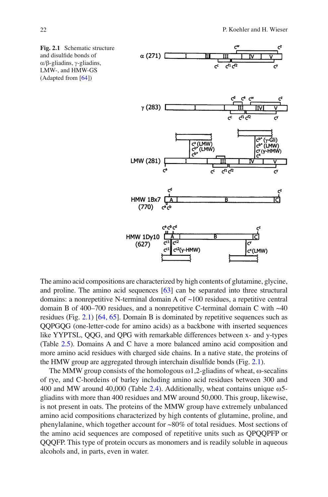

The amino acid compositions are characterized by high contents of glutamine, glycine, and proline. The amino acid sequences  $[63]$  can be separated into three structural domains: a nonrepetitive N-terminal domain A of  $\sim$ 100 residues, a repetitive central domain B of 400–700 residues, and a nonrepetitive C-terminal domain C with ~40 residues (Fig. 2.1)  $[64, 65]$ . Domain B is dominated by repetitive sequences such as QQPGQG (one-letter-code for amino acids) as a backbone with inserted sequences like YYPTSL, QQG, and QPG with remarkable differences between x- and y-types (Table [2.5](#page-12-0)). Domains A and C have a more balanced amino acid composition and more amino acid residues with charged side chains. In a native state, the proteins of the HMW group are aggregated through interchain disulfide bonds (Fig. 2.1).

The MMW group consists of the homologous  $\omega$ 1,2-gliadins of wheat,  $\omega$ -secalins of rye, and C-hordeins of barley including amino acid residues between 300 and 400 and MW around 40,000 (Table 2.4). Additionally, wheat contains unique  $\omega$ 5gliadins with more than 400 residues and MW around 50,000. This group, likewise, is not present in oats. The proteins of the MMW group have extremely unbalanced amino acid compositions characterized by high contents of glutamine, proline, and phenylalanine, which together account for ~80% of total residues. Most sections of the amino acid sequences are composed of repetitive units such as QPQQPFP or QQQFP. This type of protein occurs as monomers and is readily soluble in aqueous alcohols and, in parts, even in water.

<span id="page-11-0"></span> **Fig. 2.1** Schematic structure and disulfide bonds of  $\alpha$ / $\beta$ -gliadins,  $\nu$ -gliadins, LMW-, and HMW-GS  $(Adapted from [64])$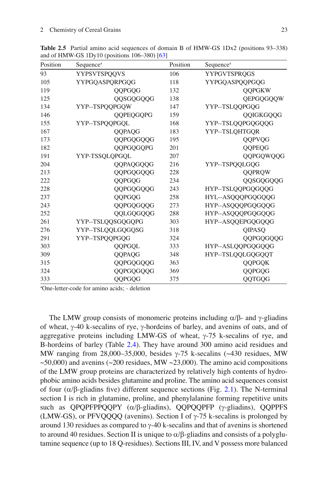| Position | Sequence <sup>a</sup> | Position | Sequence <sup>a</sup> |
|----------|-----------------------|----------|-----------------------|
| 93       | <b>YYPSVTSPQQVS</b>   | 106      | <b>YYPGVTSPRQGS</b>   |
| 105      | <b>YYPGQASPQRPGQG</b> | 118      | YYPGOASPOOPGOG        |
| 119      | QQPGQG                | 132      | QQPGKW                |
| 125      | QQSGQGQQG             | 138      | QEPGQGQQW             |
| 134      | YYP--TSPQQPGQW        | 147      | YYP--TSLQQPGQG        |
| 146      | QQPEQGQPG             | 159      | QQIGKGQQG             |
| 155      | YYP--TSPQQPGQL        | 168      | YYP--TSLQQPGQGQQG     |
| 167      | QQPAQG                | 183      | YYP--TSLQHTGQR        |
| 173      | QQPGQGQQG             | 195      | QQPVQG                |
| 182      | QQPGQGQPG             | 201      | QQPEQG                |
| 191      | YYP-TSSOLOPGOL        | 207      | QQPGQWQQG             |
| 204      | QQPAQGQQG             | 216      | YYP--TSPQQLGQG        |
| 213      | QQPGQGQQG             | 228      | QQPRQW                |
| 222      | QQPGQG                | 234      | QQSGQGQQG             |
| 228      | QQPGQGQQG             | 243      | HYP--TSLQQPGQGQQG     |
| 237      | QQPGQG                | 258      | HYL--ASQQQPGQGQQG     |
| 243      | QQPGQGQQG             | 273      | HYP--ASQQQPGQGQQG     |
| 252      | QQLGQGQQG             | 288      | HYP--ASQQQPGQGQQG     |
| 261      | YYP--TSLQQSGQGQPG     | 303      | HYP--ASQQEPGQGQQG     |
| 276      | YYP--TSLQQLGQGQSG     | 318      | <b>OIPASO</b>         |
| 291      | YYP--TSPQQPGQG        | 324      | QQPGQGQQG             |
| 303      | QQPGQL                | 333      | HYP--ASLQQPGQGQQG     |
| 309      | QQPAQG                | 348      | HYP--TSLQQLGQGQQT     |
| 315      | QQPGQGQQG             | 363      | QQPGQK                |
| 324      | QQPGQGQQG             | 369      | QQPGQG                |
| 333      | QQPGQG                | 375      | QQTGQG                |

<span id="page-12-0"></span> **Table 2.5** Partial amino acid sequences of domain B of HMW-GS 1Dx2 (positions 93–338) and of HMW-GS  $1Dy10$  (positions  $106-380$ )  $[63]$ 

a One-letter-code for amino acids; *-* deletion

The LMW group consists of monomeric proteins including  $\alpha/\beta$ - and  $\gamma$ -gliadins of wheat,  $\gamma$ -40 k-secalins of rye,  $\gamma$ -hordeins of barley, and avenins of oats, and of aggregative proteins including LMW-GS of wheat,  $\gamma$ -75 k-secalins of rye, and B-hordeins of barley (Table 2.4). They have around 300 amino acid residues and MW ranging from 28,000–35,000, besides  $\gamma$ -75 k-secalins (~430 residues, MW  $\sim$ 50,000) and avenins ( $\sim$ 200 residues, MW  $\sim$ 23,000). The amino acid compositions of the LMW group proteins are characterized by relatively high contents of hydrophobic amino acids besides glutamine and proline. The amino acid sequences consist of four  $(\alpha/\beta$ -gliadins five) different sequence sections (Fig. [2.1](#page-11-0)). The N-terminal section I is rich in glutamine, proline, and phenylalanine forming repetitive units such as QPQPFPPQQPY  $(\alpha/\beta$ -gliadins), QQPQQPFP ( $\gamma$ -gliadins), QQPPFS (LMW-GS), or PFVQQQQ (avenins). Section I of  $\gamma$ -75 k-secalins is prolonged by around 130 residues as compared to  $\gamma$ -40 k-secalins and that of avenins is shortened to around 40 residues. Section II is unique to  $\alpha/\beta$ -gliadins and consists of a polyglutamine sequence (up to 18 Q-residues). Sections III, IV, and V possess more balanced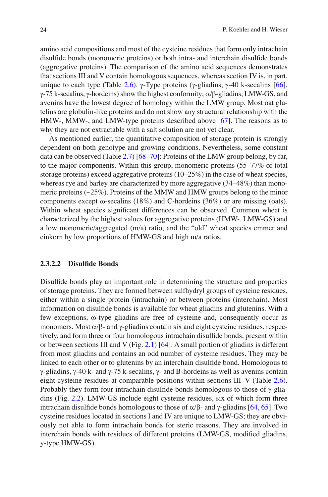amino acid compositions and most of the cysteine residues that form only intrachain disulfide bonds (monomeric proteins) or both intra- and interchain disulfide bonds (aggregative proteins). The comparison of the amino acid sequences demonstrates that sections III and V contain homologous sequences, whereas section IV is, in part, unique to each type (Table 2.6).  $\gamma$ -Type proteins ( $\gamma$ -gliadins,  $\gamma$ -40 k-secalins [66],  $\gamma$ -75 k-secalins,  $\gamma$ -hordeins) show the highest conformity;  $\alpha/\beta$ -gliadins, LMW-GS, and avenins have the lowest degree of homology within the LMW group. Most oat glutelins are globulin-like proteins and do not show any structural relationship with the HMW-, MMW-, and LMW-type proteins described above  $[67]$ . The reasons as to why they are not extractable with a salt solution are not yet clear.

 As mentioned earlier, the quantitative composition of storage protein is strongly dependent on both genotype and growing conditions. Nevertheless, some constant data can be observed (Table [2.7](#page-15-0))  $[68–70]$ : Proteins of the LMW group belong, by far, to the major components. Within this group, monomeric proteins (55–77% of total storage proteins) exceed aggregative proteins  $(10-25%)$  in the case of wheat species, whereas rye and barley are characterized by more aggregative (34–48%) than monomeric proteins (~25%). Proteins of the MMW and HMW groups belong to the minor components except  $\omega$ -secalins (18%) and C-hordeins (36%) or are missing (oats). Within wheat species significant differences can be observed. Common wheat is characterized by the highest values for aggregative proteins (HMW-, LMW-GS) and a low monomeric/aggregated (m/a) ratio, and the "old" wheat species emmer and einkorn by low proportions of HMW-GS and high m/a ratios.

### **2.3.2.2 Disulfide Bonds**

Disulfide bonds play an important role in determining the structure and properties of storage proteins. They are formed between sulfhydryl groups of cysteine residues, either within a single protein (intrachain) or between proteins (interchain). Most information on disulfide bonds is available for wheat gliadins and glutenins. With a few exceptions, w -type gliadins are free of cysteine and, consequently occur as monomers. Most  $\alpha/\beta$ - and  $\gamma$ -gliadins contain six and eight cysteine residues, respectively, and form three or four homologous intrachain disulfide bonds, present within or between sections III and V (Fig.  $2.1$ ) [64]. A small portion of gliadins is different from most gliadins and contains an odd number of cysteine residues. They may be linked to each other or to glutenins by an interchain disulfide bond. Homologous to  $\gamma$ -gliadins,  $\gamma$ -40 k- and  $\gamma$ -75 k-secalins,  $\gamma$ - and B-hordeins as well as avenins contain eight cysteine residues at comparable positions within sections III–V (Table  $2.6$ ). Probably they form four intrachain disulfide bonds homologous to those of  $\gamma$ -gliadins (Fig. [2.2](#page-15-0) ). LMW-GS include eight cysteine residues, six of which form three intrachain disulfide bonds homologous to those of  $\alpha/\beta$ - and  $\gamma$ -gliadins [64, 65]. Two cysteine residues located in sections I and IV are unique to LMW-GS; they are obviously not able to form intrachain bonds for steric reasons. They are involved in interchain bonds with residues of different proteins (LMW-GS, modified gliadins, y-type HMW-GS).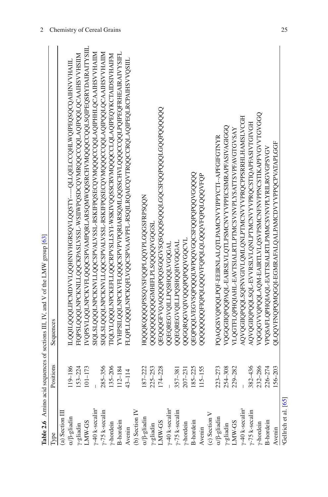| $\sim$ THE concentration of $\sim$<br>i<br>T<br>of the LM |
|-----------------------------------------------------------|
|                                                           |
| ∫<br>∃<br>THE INT And is                                  |
|                                                           |
|                                                           |
| $\sim$                                                    |
|                                                           |
| mino and centernes of st                                  |
| ì                                                         |
|                                                           |
| . טיה מנה                                                 |

<span id="page-14-0"></span>

|                                                               |                         | Table 2.6 Amino acid sequences of sections III, IV, and V of the LMW group [63] |
|---------------------------------------------------------------|-------------------------|---------------------------------------------------------------------------------|
| lype                                                          | Positions               | Sequences                                                                       |
| (a) Section II                                                |                         |                                                                                 |
| α/β-gliadin                                                   | 119-186                 | LQQILQQULPCMDVVLQQHNIVHGRSQVLQQSTY----QLLQELCCQHLWQIPEQSQCQAIHNVVHAIIL          |
| y-gliadin<br>LMW-GS                                           | $-224$<br>153           | FIQPSLQQQLAPCKNILLQCKPASLYWSILWPQSDCQVMRQQCCQQLAQIPQQLQCAAIHSVVHSIIM            |
|                                                               | $101 - 173$             | IVQPSYLQQLNPCKVFLQQCSPVAMPQRLARSQMWQQSRCHVMQQQCCQQLSQIPEQSRYDAIRAITYSIIL        |
|                                                               |                         | SIQLSLOQQLNPCKNVLLQQCSPVALVSSL-RSKIFPQSECQVMQQQCQQQLAQIPHILQCAAIHSVVHAIIM       |
| $\gamma$ -40 k-secalin <sup>a</sup><br>$\gamma$ -75 k-secalin | 285-356                 | SIQUSLOQUAPCKNVLLQQSPVALVSSL-RSKIFPQSBCVMQQQCCQQLAQDPQQLQAANHSVVHAIMM           |
| y-hordein                                                     |                         | TIQLYLQQQLNPCKEFLLQQCRPVSLLSYI-WSKIVQQSSCRVMQQQCCLQLQDPEQYKCTAIDSIVHAIFM        |
| <b>B-hordein</b>                                              | 135-206<br>112-184      | YYHPSILQQLNPCKYFLQQQCSPYPYORIARSQMLQQSSCHVLQQQCCQQLPQIPEQFRHEAIRAIYYSIFL        |
| Avenin                                                        | $\frac{1}{4}$<br>$43 -$ | FLQPLLQQQLXPCKQFLVQQCSPVAAVPFL-RSQILRQAICQVTRQQCCRQLAQIPEQLRCPAIHSVVQSIIL       |
| (b) Section IV                                                |                         |                                                                                 |
| $\alpha/\beta$ -gliadin                                       | $187 - 222$             | HQQQKQQQQPSSQVSFQQPLQQYPLGQGSFRPSQQN                                            |
| y-gliadin<br>LMW-GS                                           | $225 - 253$             | QQQQQQQQGMHIFLPLSQQQVGQGSL                                                      |
|                                                               | $-228$<br>174           | QEQQQGFYQAQQQQSGQGYSQQQQQQQQLGQCSFQQPQQQLGQQPQQQQQQ                             |
| $\gamma$ -40 k-secalinª                                       |                         | QQEQREGVQILLPQSHQQLVGQGAL                                                       |
| $\gamma$ -75 k-secalin                                        | $-381$<br>357-          | QQEQREGVQILLPQSHQQHVGQGAL                                                       |
| $\gamma$ -hordein                                             | $-231$<br>207-          | QQGQRQGYQIYQQQPQPQQYGQCYL                                                       |
| <b>B-hordein</b>                                              | $-225$<br>185           | QEQPQQLYEGYSQPQQQLWPQQVGQCSFQQPQPQQVGQQQQ                                       |
| Avenin                                                        | $-155$<br>115           |                                                                                 |
| (c) Section V                                                 |                         |                                                                                 |
|                                                               | $223 - 273$             | PQAQGSVQPQQLPQF-EEIRNLALQTLPAMCNVYIPPYCTI--APFGIFGTNYR                          |
| $\alpha/\beta$ -gliadin $\gamma$ -gliadin                     | $-308$<br>254           | VQGQGIIQPQQPAQL-EAIRSLVLQTLPSMCNVYVPPECSIMRAPFASIVAGIGGQ                        |
| CO-MM.                                                        | 229-282                 | VLQGTFLQPHQIAHL-EAVTSIALRTLPTMCSVNVPLYSATTSVPFAVGTGVSAY                         |
| y-40 k-secalin <sup>a</sup>                                   |                         | AQVQGIIQPQQLSQFNVGIVLQMLQNLPTMCNVYVPRQCPPSRRHLHAMSLVCGH                         |
| $\gamma$ -75 k-secalin                                        | 382-436                 | AQVQGIIQPQQLSQL-EYVRSLVLQNLPTMCNVYVPRQCSTIQAPFASIVTGIVGH                        |
| y-hordein                                                     | 232-286<br>226-274      | VQQQUAQN-EAIRTLYLQSVPSMCNFNVPPNCSTIKAPFVGVVTGVGQ                                |
| <b>B-hordein</b>                                              |                         | VPQSAFLQPHQIAQL-EATTSIALRTLPMMCSVNVPLYRILRGVGPSVGV                              |
| Avenin                                                        | $-203$<br>156           | QLQQVFNQPQMQGQI-EGMRAFALQALPAMCDVYVPPQCPVATAPLGGF                               |
| <sup>a</sup> Gellrich et al. [65]                             |                         |                                                                                 |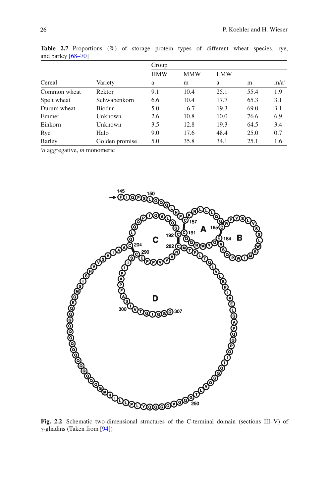| and $0$ and $\frac{1}{2}$ $\frac{1}{2}$ $\frac{1}{2}$ $\frac{1}{2}$ $\frac{1}{2}$ $\frac{1}{2}$ $\frac{1}{2}$ |                |            |            |            |      |                  |
|---------------------------------------------------------------------------------------------------------------|----------------|------------|------------|------------|------|------------------|
|                                                                                                               |                | Group      |            |            |      |                  |
|                                                                                                               |                | <b>HMW</b> | <b>MMW</b> | <b>LMW</b> |      |                  |
| Cereal                                                                                                        | Variety        | a          | m          | a          | m    | m/a <sup>a</sup> |
| Common wheat                                                                                                  | Rektor         | 9.1        | 10.4       | 25.1       | 55.4 | 1.9              |
| Spelt wheat                                                                                                   | Schwabenkorn   | 6.6        | 10.4       | 17.7       | 65.3 | 3.1              |
| Durum wheat                                                                                                   | Biodur         | 5.0        | 6.7        | 19.3       | 69.0 | 3.1              |
| Emmer                                                                                                         | Unknown        | 2.6        | 10.8       | 10.0       | 76.6 | 6.9              |
| Einkorn                                                                                                       | Unknown        | 3.5        | 12.8       | 19.3       | 64.5 | 3.4              |
| Rye                                                                                                           | Halo           | 9.0        | 17.6       | 48.4       | 25.0 | 0.7              |
| Barley                                                                                                        | Golden promise | 5.0        | 35.8       | 34.1       | 25.1 | 1.6              |

<span id="page-15-0"></span> **Table 2.7** Proportions (%) of storage protein types of different wheat species, rye, and barley  $[68-70]$ 

a *a* aggregative, *m* monomeric

![](_page_15_Figure_4.jpeg)

 $\gamma$ -gliadins (Taken from [94])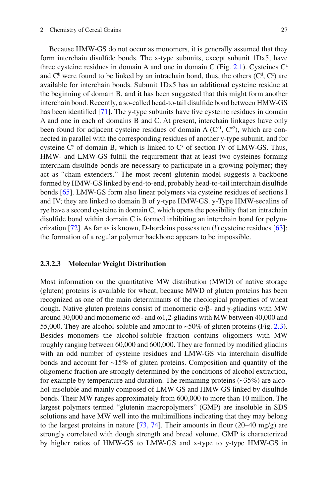Because HMW-GS do not occur as monomers, it is generally assumed that they form interchain disulfide bonds. The x-type subunits, except subunit  $1Dx5$ , have three cysteine residues in domain A and one in domain C (Fig. [2.1](#page-11-0)). Cysteines  $C^a$ and  $C^b$  were found to be linked by an intrachain bond, thus, the others  $(C^d, C^z)$  are available for interchain bonds. Subunit 1Dx5 has an additional cysteine residue at the beginning of domain B, and it has been suggested that this might form another interchain bond. Recently, a so-called head-to-tail disulfide bond between HMW-GS has been identified  $[71]$ . The y-type subunits have five cysteine residues in domain A and one in each of domains B and C. At present, interchain linkages have only been found for adjacent cysteine residues of domain A ( $C^{c_1}$ ,  $C^{c_2}$ ), which are connected in parallel with the corresponding residues of another y-type subunit, and for cysteine  $C^y$  of domain B, which is linked to  $C^x$  of section IV of LMW-GS. Thus, HMW- and LMW-GS fulfill the requirement that at least two cysteines forming interchain disulfide bonds are necessary to participate in a growing polymer; they act as "chain extenders." The most recent glutenin model suggests a backbone formed by HMW-GS linked by end-to-end, probably head-to-tail interchain disulfide bonds [65]. LMW-GS form also linear polymers via cysteine residues of sections I and IV; they are linked to domain B of y-type HMW-GS. y-Type HMW-secalins of rye have a second cysteine in domain C, which opens the possibility that an intrachain disulfide bond within domain C is formed inhibiting an interchain bond for polymerization  $[72]$ . As far as is known, D-hordeins possess ten  $(!)$  cysteine residues  $[63]$ ; the formation of a regular polymer backbone appears to be impossible.

### **2.3.2.3 Molecular Weight Distribution**

 Most information on the quantitative MW distribution (MWD) of native storage (gluten) proteins is available for wheat, because MWD of gluten proteins has been recognized as one of the main determinants of the rheological properties of wheat dough. Native gluten proteins consist of monomeric  $\alpha/\beta$ - and y-gliadins with MW around 30,000 and monomeric  $\omega$ 5- and  $\omega$ 1,2-gliadins with MW between 40,000 and 55,000. They are alcohol-soluble and amount to ~50% of gluten proteins (Fig. [2.3 \)](#page-17-0). Besides monomers the alcohol-soluble fraction contains oligomers with MW roughly ranging between 60,000 and 600,000. They are formed by modified gliadins with an odd number of cysteine residues and LMW-GS via interchain disulfide bonds and account for  $\sim$ 15% of gluten proteins. Composition and quantity of the oligomeric fraction are strongly determined by the conditions of alcohol extraction, for example by temperature and duration. The remaining proteins  $(\sim 35\%)$  are alcohol-insoluble and mainly composed of LMW-GS and HMW-GS linked by disulfide bonds. Their MW ranges approximately from 600,000 to more than 10 million. The largest polymers termed "glutenin macropolymers" (GMP) are insoluble in SDS solutions and have MW well into the multimillions indicating that they may belong to the largest proteins in nature  $[73, 74]$ . Their amounts in flour  $(20-40 \text{ mg/g})$  are strongly correlated with dough strength and bread volume. GMP is characterized by higher ratios of HMW-GS to LMW-GS and x-type to y-type HMW-GS in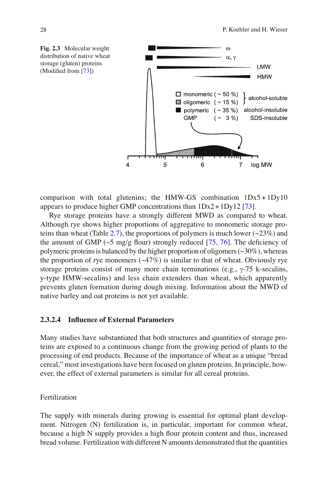<span id="page-17-0"></span>![](_page_17_Figure_1.jpeg)

comparison with total glutenins; the HMW-GS combination  $1Dx5+1Dy10$ appears to produce higher GMP concentrations than  $1Dx^2 + 1Dy^2$  [73].

 Rye storage proteins have a strongly different MWD as compared to wheat. Although rye shows higher proportions of aggregative to monomeric storage pro-teins than wheat (Table [2.7](#page-15-0)), the proportions of polymers is much lower  $(\sim 23\%)$  and the amount of GMP ( $\sim$ 5 mg/g flour) strongly reduced [75, 76]. The deficiency of polymeric proteins is balanced by the higher proportion of oligomers (~30%), whereas the proportion of rye monomers  $(\sim 47\%)$  is similar to that of wheat. Obviously rye storage proteins consist of many more chain terminations (e.g.,  $\gamma$ -75 k-secalins, y-type HMW-secalins) and less chain extenders than wheat, which apparently prevents gluten formation during dough mixing. Information about the MWD of native barley and oat proteins is not yet available .

### **2.3.2.4 Influence of External Parameters**

 Many studies have substantiated that both structures and quantities of storage proteins are exposed to a continuous change from the growing period of plants to the processing of end products. Because of the importance of wheat as a unique "bread cereal," most investigations have been focused on gluten proteins. In principle, however, the effect of external parameters is similar for all cereal proteins.

#### Fertilization

 The supply with minerals during growing is essential for optimal plant development. Nitrogen (N) fertilization is, in particular, important for common wheat, because a high N supply provides a high flour protein content and thus, increased bread volume. Fertilization with different N amounts demonstrated that the quantities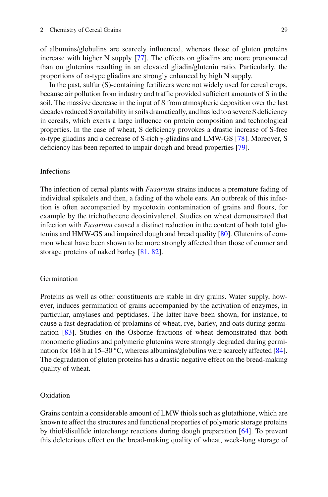of albumins/globulins are scarcely influenced, whereas those of gluten proteins increase with higher N supply [77]. The effects on gliadins are more pronounced than on glutenins resulting in an elevated gliadin/glutenin ratio. Particularly, the proportions of  $\omega$ -type gliadins are strongly enhanced by high N supply.

 In the past, sulfur (S)-containing fertilizers were not widely used for cereal crops, because air pollution from industry and traffic provided sufficient amounts of S in the soil. The massive decrease in the input of S from atmospheric deposition over the last decades reduced S availability in soils dramatically, and has led to a severe S deficiency in cereals, which exerts a large influence on protein composition and technological properties. In the case of wheat, S deficiency provokes a drastic increase of S-free  $\omega$ -type gliadins and a decrease of S-rich  $\gamma$ -gliadins and LMW-GS [78]. Moreover, S deficiency has been reported to impair dough and bread properties [79].

#### Infections

 The infection of cereal plants with *Fusarium* strains induces a premature fading of individual spikelets and then, a fading of the whole ears. An outbreak of this infection is often accompanied by mycotoxin contamination of grains and flours, for example by the trichothecene deoxinivalenol. Studies on wheat demonstrated that infection with *Fusarium* caused a distinct reduction in the content of both total glutenins and HMW-GS and impaired dough and bread quality [80]. Glutenins of common wheat have been shown to be more strongly affected than those of emmer and storage proteins of naked barley [81, 82].

### Germination

 Proteins as well as other constituents are stable in dry grains. Water supply, however, induces germination of grains accompanied by the activation of enzymes, in particular, amylases and peptidases. The latter have been shown, for instance, to cause a fast degradation of prolamins of wheat, rye, barley, and oats during germination  $[83]$ . Studies on the Osborne fractions of wheat demonstrated that both monomeric gliadins and polymeric glutenins were strongly degraded during germination for 168 h at 15–30  $^{\circ}$ C, whereas albumins/globulins were scarcely affected [84]. The degradation of gluten proteins has a drastic negative effect on the bread-making quality of wheat.

### Oxidation

 Grains contain a considerable amount of LMW thiols such as glutathione, which are known to affect the structures and functional properties of polymeric storage proteins by thiol/disulfide interchange reactions during dough preparation  $[64]$ . To prevent this deleterious effect on the bread-making quality of wheat, week-long storage of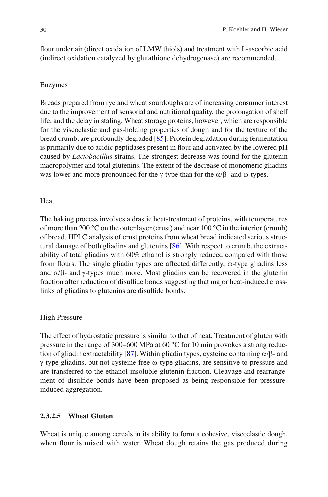flour under air (direct oxidation of LMW thiols) and treatment with L-ascorbic acid (indirect oxidation catalyzed by glutathione dehydrogenase) are recommended.

#### Enzymes

 Breads prepared from rye and wheat sourdoughs are of increasing consumer interest due to the improvement of sensorial and nutritional quality, the prolongation of shelf life, and the delay in staling. Wheat storage proteins, however, which are responsible for the viscoelastic and gas-holding properties of dough and for the texture of the bread crumb, are profoundly degraded [ [85 \]](#page-32-0) . Protein degradation during fermentation is primarily due to acidic peptidases present in flour and activated by the lowered pH caused by *Lactobacillus* strains. The strongest decrease was found for the glutenin macropolymer and total glutenins. The extent of the decrease of monomeric gliadins was lower and more pronounced for the  $\gamma$ -type than for the  $\alpha/\beta$ - and  $\omega$ -types.

### Heat

 The baking process involves a drastic heat-treatment of proteins, with temperatures of more than 200  $^{\circ}$ C on the outer layer (crust) and near 100  $^{\circ}$ C in the interior (crumb) of bread. HPLC analysis of crust proteins from wheat bread indicated serious structural damage of both gliadins and glutenins  $[86]$ . With respect to crumb, the extractability of total gliadins with 60% ethanol is strongly reduced compared with those from flours. The single gliadin types are affected differently,  $\omega$ -type gliadins less and  $\alpha/\beta$ - and  $\gamma$ -types much more. Most gliadins can be recovered in the glutenin fraction after reduction of disulfide bonds suggesting that major heat-induced crosslinks of gliadins to glutenins are disulfide bonds.

#### High Pressure

 The effect of hydrostatic pressure is similar to that of heat. Treatment of gluten with pressure in the range of 300–600 MPa at 60 °C for 10 min provokes a strong reduction of gliadin extractability [87]. Within gliadin types, cysteine containing  $\alpha/\beta$ - and  $\gamma$ -type gliadins, but not cysteine-free  $\omega$ -type gliadins, are sensitive to pressure and are transferred to the ethanol-insoluble glutenin fraction. Cleavage and rearrangement of disulfide bonds have been proposed as being responsible for pressureinduced aggregation.

### **2.3.2.5 Wheat Gluten**

 Wheat is unique among cereals in its ability to form a cohesive, viscoelastic dough, when flour is mixed with water. Wheat dough retains the gas produced during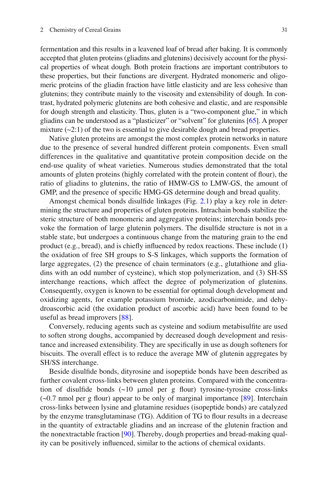fermentation and this results in a leavened loaf of bread after baking. It is commonly accepted that gluten proteins (gliadins and glutenins) decisively account for the physical properties of wheat dough. Both protein fractions are important contributors to these properties, but their functions are divergent. Hydrated monomeric and oligomeric proteins of the gliadin fraction have little elasticity and are less cohesive than glutenins; they contribute mainly to the viscosity and extensibility of dough. In contrast, hydrated polymeric glutenins are both cohesive and elastic, and are responsible for dough strength and elasticity. Thus, gluten is a "two-component glue," in which gliadins can be understood as a "plasticizer" or "solvent" for glutenins [ [65](#page-31-0) ] . A proper mixture  $(\sim 2.1)$  of the two is essential to give desirable dough and bread properties.

 Native gluten proteins are amongst the most complex protein networks in nature due to the presence of several hundred different protein components. Even small differences in the qualitative and quantitative protein composition decide on the end-use quality of wheat varieties. Numerous studies demonstrated that the total amounts of gluten proteins (highly correlated with the protein content of flour), the ratio of gliadins to glutenins, the ratio of HMW-GS to LMW-GS, the amount of GMP, and the presence of specific HMG-GS determine dough and bread quality.

Amongst chemical bonds disulfide linkages (Fig.  $2.1$ ) play a key role in determining the structure and properties of gluten proteins. Intrachain bonds stabilize the steric structure of both monomeric and aggregative proteins; interchain bonds provoke the formation of large glutenin polymers. The disulfide structure is not in a stable state, but undergoes a continuous change from the maturing grain to the end product (e.g., bread), and is chiefly influenced by redox reactions. These include  $(1)$ the oxidation of free SH groups to S-S linkages, which supports the formation of large aggregates, (2) the presence of chain terminators (e.g., glutathione and gliadins with an odd number of cysteine), which stop polymerization, and (3) SH-SS interchange reactions, which affect the degree of polymerization of glutenins. Consequently, oxygen is known to be essential for optimal dough development and oxidizing agents, for example potassium bromide, azodicarbonimide, and dehydroascorbic acid (the oxidation product of ascorbic acid) have been found to be useful as bread improvers [88].

Conversely, reducing agents such as cysteine and sodium metabisulfite are used to soften strong doughs, accompanied by decreased dough development and resistance and increased extensibility. They are specifically in use as dough softeners for biscuits. The overall effect is to reduce the average MW of glutenin aggregates by SH/SS interchange.

Beside disulfide bonds, dityrosine and isopeptide bonds have been described as further covalent cross-links between gluten proteins. Compared with the concentration of disulfide bonds  $(\sim 10 \text{ }\mu\text{mol} \text{ per g flow})$  tyrosine-tyrosine cross-links  $(-0.7 \text{ mmol per g flour})$  appear to be only of marginal importance [89]. Interchain cross-links between lysine and glutamine residues (isopeptide bonds) are catalyzed by the enzyme transglutaminase (TG). Addition of TG to flour results in a decrease in the quantity of extractable gliadins and an increase of the glutenin fraction and the nonextractable fraction [90]. Thereby, dough properties and bread-making quality can be positively influenced, similar to the actions of chemical oxidants.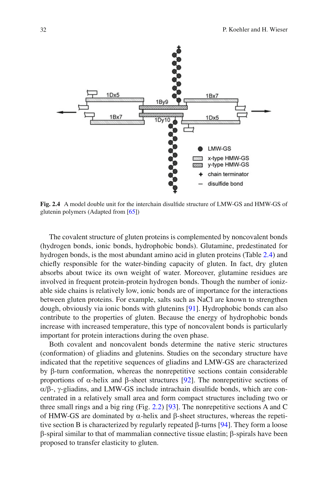<span id="page-21-0"></span>![](_page_21_Figure_1.jpeg)

**Fig. 2.4** A model double unit for the interchain disulfide structure of LMW-GS and HMW-GS of glutenin polymers (Adapted from [65])

 The covalent structure of gluten proteins is complemented by noncovalent bonds (hydrogen bonds, ionic bonds, hydrophobic bonds). Glutamine, predestinated for hydrogen bonds, is the most abundant amino acid in gluten proteins (Table [2.4](#page-10-0) ) and chiefly responsible for the water-binding capacity of gluten. In fact, dry gluten absorbs about twice its own weight of water. Moreover, glutamine residues are involved in frequent protein-protein hydrogen bonds. Though the number of ionizable side chains is relatively low, ionic bonds are of importance for the interactions between gluten proteins. For example, salts such as NaCl are known to strengthen dough, obviously via ionic bonds with glutenins [91]. Hydrophobic bonds can also contribute to the properties of gluten. Because the energy of hydrophobic bonds increase with increased temperature, this type of noncovalent bonds is particularly important for protein interactions during the oven phase.

 Both covalent and noncovalent bonds determine the native steric structures (conformation) of gliadins and glutenins. Studies on the secondary structure have indicated that the repetitive sequences of gliadins and LMW-GS are characterized by  $\beta$ -turn conformation, whereas the nonrepetitive sections contain considerable proportions of  $\alpha$ -helix and  $\beta$ -sheet structures [92]. The nonrepetitive sections of  $\alpha/\beta$ -,  $\gamma$ -gliadins, and LMW-GS include intrachain disulfide bonds, which are concentrated in a relatively small area and form compact structures including two or three small rings and a big ring (Fig.  $2.2$ ) [93]. The nonrepetitive sections A and C of HMW-GS are dominated by  $\alpha$ -helix and  $\beta$ -sheet structures, whereas the repetitive section B is characterized by regularly repeated  $\beta$ -turns [94]. They form a loose  $\beta$ -spiral similar to that of mammalian connective tissue elastin;  $\beta$ -spirals have been proposed to transfer elasticity to gluten.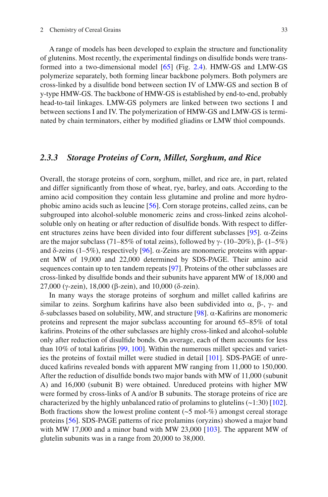#### <span id="page-22-0"></span>2 Chemistry of Cereal Grains 33

 A range of models has been developed to explain the structure and functionality of glutenins. Most recently, the experimental findings on disulfide bonds were transformed into a two-dimensional model  $[65]$  (Fig. 2.4). HMW-GS and LMW-GS polymerize separately, both forming linear backbone polymers. Both polymers are cross-linked by a disulfide bond between section IV of LMW-GS and section B of y-type HMW-GS. The backbone of HMW-GS is established by end-to-end, probably head-to-tail linkages. LMW-GS polymers are linked between two sections I and between sections I and IV. The polymerization of HMW-GS and LMW-GS is terminated by chain terminators, either by modified gliadins or LMW thiol compounds.

# *2.3.3 Storage Proteins of Corn, Millet, Sorghum, and Rice*

 Overall, the storage proteins of corn, sorghum, millet, and rice are, in part, related and differ significantly from those of wheat, rye, barley, and oats. According to the amino acid composition they contain less glutamine and proline and more hydrophobic amino acids such as leucine [\[ 56](#page-31-0) ] . Corn storage proteins, called zeins, can be subgrouped into alcohol-soluble monomeric zeins and cross-linked zeins alcoholsoluble only on heating or after reduction of disulfide bonds. With respect to different structures zeins have been divided into four different subclasses [95].  $\alpha$ -Zeins are the major subclass (71–85% of total zeins), followed by  $\gamma$ - (10–20%),  $\beta$ - (1–5%) and  $\delta$ -zeins (1–5%), respectively [96].  $\alpha$ -Zeins are monomeric proteins with apparent MW of 19,000 and 22,000 determined by SDS-PAGE. Their amino acid sequences contain up to ten tandem repeats [97]. Proteins of the other subclasses are cross-linked by disulfide bonds and their subunits have apparent MW of 18,000 and 27,000 ( $\gamma$ -zein), 18,000 ( $\beta$ -zein), and 10,000 ( $\delta$ -zein).

In many ways the storage proteins of sorghum and millet called kafirins are similar to zeins. Sorghum kafirins have also been subdivided into  $\alpha$ ,  $\beta$ -,  $\gamma$ - and  $\delta$ -subclasses based on solubility, MW, and structure [98].  $\alpha$ -Kafirins are monomeric proteins and represent the major subclass accounting for around 65–85% of total ka firins. Proteins of the other subclasses are highly cross-linked and alcohol-soluble only after reduction of disulfide bonds. On average, each of them accounts for less than  $10\%$  of total kafirins [99, 100]. Within the numerous millet species and varieties the proteins of foxtail millet were studied in detail [101]. SDS-PAGE of unreduced kafirins revealed bonds with apparent MW ranging from 11,000 to 150,000. After the reduction of disulfide bonds two major bands with MW of  $11,000$  (subunit A) and 16,000 (subunit B) were obtained. Unreduced proteins with higher MW were formed by cross-links of A and/or B subunits. The storage proteins of rice are characterized by the highly unbalanced ratio of prolamins to glutelins  $(\sim 1:30)$  [102]. Both fractions show the lowest proline content  $(\sim 5 \text{ mol-}\%)$  amongst cereal storage proteins [ [56 \]](#page-31-0) . SDS-PAGE patterns of rice prolamins (oryzins) showed a major band with MW 17,000 and a minor band with MW 23,000  $[103]$ . The apparent MW of glutelin subunits was in a range from 20,000 to 38,000.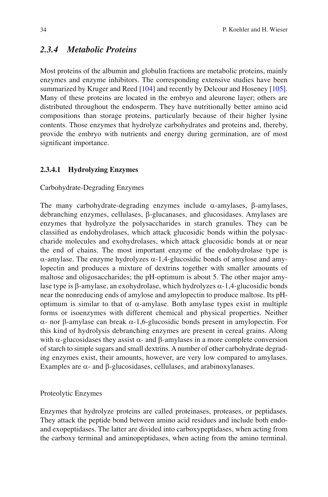# <span id="page-23-0"></span> *2.3.4 Metabolic Proteins*

 Most proteins of the albumin and globulin fractions are metabolic proteins, mainly enzymes and enzyme inhibitors. The corresponding extensive studies have been summarized by Kruger and Reed [104] and recently by Delcour and Hoseney [105]. Many of these proteins are located in the embryo and aleurone layer; others are distributed throughout the endosperm. They have nutritionally better amino acid compositions than storage proteins, particularly because of their higher lysine contents. Those enzymes that hydrolyze carbohydrates and proteins and, thereby, provide the embryo with nutrients and energy during germination, are of most significant importance.

### **2.3.4.1 Hydrolyzing Enzymes**

Carbohydrate-Degrading Enzymes

The many carbohydrate-degrading enzymes include  $\alpha$ -amylases,  $\beta$ -amylases, debranching enzymes, cellulases, b -glucanases, and glucosidases. Amylases are enzymes that hydrolyze the polysaccharides in starch granules. They can be classified as endohydrolases, which attack glucosidic bonds within the polysaccharide molecules and exohydrolases, which attack glucosidic bonds at or near the end of chains. The most important enzyme of the endohydrolase type is  $\alpha$ -amylase. The enzyme hydrolyzes  $\alpha$ -1,4-glucosidic bonds of amylose and amylopectin and produces a mixture of dextrins together with smaller amounts of maltose and oligosaccharides; the pH-optimum is about 5. The other major amylase type is  $\beta$ -amylase, an exohydrolase, which hydrolyzes  $\alpha$ -1,4-glucosidic bonds near the nonreducing ends of amylose and amylopectin to produce maltose. Its pHoptimum is similar to that of  $\alpha$ -amylase. Both amylase types exist in multiple forms or isoenzymes with different chemical and physical properties. Neither  $\alpha$ - nor  $\beta$ -amylase can break  $\alpha$ -1,6-glucosidic bonds present in amylopectin. For this kind of hydrolysis debranching enzymes are present in cereal grains. Along with  $\alpha$ -glucosidases they assist  $\alpha$ - and  $\beta$ -amylases in a more complete conversion of starch to simple sugars and small dextrins. A number of other carbohydrate degrading enzymes exist, their amounts, however, are very low compared to amylases. Examples are  $\alpha$ - and  $\beta$ -glucosidases, cellulases, and arabinoxylanases.

Proteolytic Enzymes

 Enzymes that hydrolyze proteins are called proteinases, proteases, or peptidases. They attack the peptide bond between amino acid residues and include both endoand exopeptidases. The latter are divided into carboxypeptidases, when acting from the carboxy terminal and aminopeptidases, when acting from the amino terminal.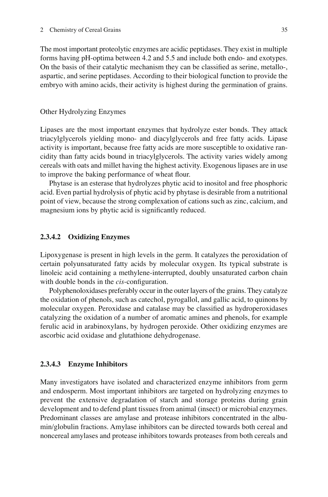The most important proteolytic enzymes are acidic peptidases. They exist in multiple forms having pH-optima between 4.2 and 5.5 and include both endo- and exotypes. On the basis of their catalytic mechanism they can be classified as serine, metallo-, aspartic, and serine peptidases. According to their biological function to provide the embryo with amino acids, their activity is highest during the germination of grains.

#### Other Hydrolyzing Enzymes

 Lipases are the most important enzymes that hydrolyze ester bonds. They attack triacylglycerols yielding mono- and diacylglycerols and free fatty acids. Lipase activity is important, because free fatty acids are more susceptible to oxidative rancidity than fatty acids bound in triacylglycerols. The activity varies widely among cereals with oats and millet having the highest activity. Exogenous lipases are in use to improve the baking performance of wheat flour.

 Phytase is an esterase that hydrolyzes phytic acid to inositol and free phosphoric acid. Even partial hydrolysis of phytic acid by phytase is desirable from a nutritional point of view, because the strong complexation of cations such as zinc, calcium, and magnesium ions by phytic acid is significantly reduced.

### **2.3.4.2 Oxidizing Enzymes**

 Lipoxygenase is present in high levels in the germ. It catalyzes the peroxidation of certain polyunsaturated fatty acids by molecular oxygen. Its typical substrate is linoleic acid containing a methylene-interrupted, doubly unsaturated carbon chain with double bonds in the *cis*-configuration.

 Polyphenoloxidases preferably occur in the outer layers of the grains. They catalyze the oxidation of phenols, such as catechol, pyrogallol, and gallic acid, to quinons by molecular oxygen. Peroxidase and catalase may be classified as hydroperoxidases catalyzing the oxidation of a number of aromatic amines and phenols, for example ferulic acid in arabinoxylans, by hydrogen peroxide. Other oxidizing enzymes are ascorbic acid oxidase and glutathione dehydrogenase.

#### **2.3.4.3 Enzyme Inhibitors**

 Many investigators have isolated and characterized enzyme inhibitors from germ and endosperm. Most important inhibitors are targeted on hydrolyzing enzymes to prevent the extensive degradation of starch and storage proteins during grain development and to defend plant tissues from animal (insect) or microbial enzymes. Predominant classes are amylase and protease inhibitors concentrated in the albumin/globulin fractions. Amylase inhibitors can be directed towards both cereal and noncereal amylases and protease inhibitors towards proteases from both cereals and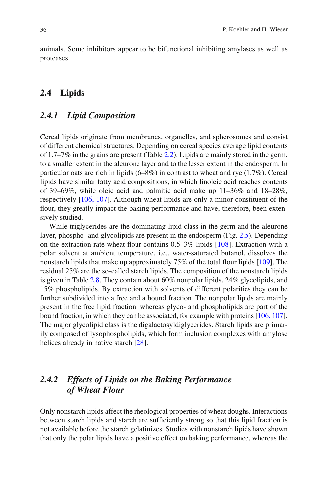animals. Some inhibitors appear to be bifunctional inhibiting amylases as well as proteases.

# **2.4 Lipids**

### *2.4.1 Lipid Composition*

 Cereal lipids originate from membranes, organelles, and spherosomes and consist of different chemical structures. Depending on cereal species average lipid contents of 1.7–7% in the grains are present (Table [2.2 \)](#page-2-0). Lipids are mainly stored in the germ, to a smaller extent in the aleurone layer and to the lesser extent in the endosperm. In particular oats are rich in lipids  $(6–8%)$  in contrast to wheat and rye  $(1.7%)$ . Cereal lipids have similar fatty acid compositions, in which linoleic acid reaches contents of 39–69%, while oleic acid and palmitic acid make up  $11-36\%$  and  $18-28\%$ . respectively  $[106, 107]$ . Although wheat lipids are only a minor constituent of the flour, they greatly impact the baking performance and have, therefore, been extensively studied.

 While triglycerides are the dominating lipid class in the germ and the aleurone layer, phospho- and glycolipids are present in the endosperm (Fig.  $2.5$ ). Depending on the extraction rate wheat flour contains  $0.5-3\%$  lipids [108]. Extraction with a polar solvent at ambient temperature, i.e., water-saturated butanol, dissolves the nonstarch lipids that make up approximately  $75\%$  of the total flour lipids [109]. The residual 25% are the so-called starch lipids. The composition of the nonstarch lipids is given in Table [2.8](#page-26-0) . They contain about 60% nonpolar lipids, 24% glycolipids, and 15% phospholipids. By extraction with solvents of different polarities they can be further subdivided into a free and a bound fraction. The nonpolar lipids are mainly present in the free lipid fraction, whereas glyco- and phospholipids are part of the bound fraction, in which they can be associated, for example with proteins [106, 107]. The major glycolipid class is the digalactosyldiglycerides. Starch lipids are primarily composed of lysophospholipids, which form inclusion complexes with amylose helices already in native starch  $[28]$ .

# *2.4.2 Effects of Lipids on the Baking Performance of Wheat Flour*

 Only nonstarch lipids affect the rheological properties of wheat doughs. Interactions between starch lipids and starch are sufficiently strong so that this lipid fraction is not available before the starch gelatinizes. Studies with nonstarch lipids have shown that only the polar lipids have a positive effect on baking performance, whereas the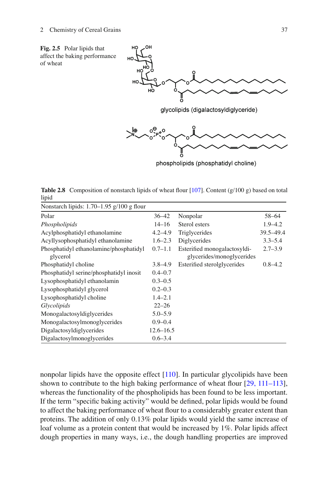<span id="page-26-0"></span> **Fig. 2.5** Polar lipids that affect the baking performance of wheat

![](_page_26_Figure_2.jpeg)

glycolipids (digalactosyldiglyceride)

![](_page_26_Figure_4.jpeg)

**Table 2.8** Composition of nonstarch lipids of wheat flour  $[107]$ . Content  $(g/100 g)$  based on total lipid

| Nonstarch lipids: $1.70-1.95$ g/100 g flour        |               |                                                           |             |
|----------------------------------------------------|---------------|-----------------------------------------------------------|-------------|
| Polar                                              | $36 - 42$     | Nonpolar                                                  | $58 - 64$   |
| Phospholipids                                      | $14 - 16$     | Sterol esters                                             | $1.9 - 4.2$ |
| Acylphosphatidyl ethanolamine                      | $4.2 - 4.9$   | Triglycerides                                             | 39.5-49.4   |
| Acyllysophosphatidyl ethanolamine                  | $1.6 - 2.3$   | Diglycerides                                              | $3.3 - 5.4$ |
| Phosphatidyl ethanolamine/phosphatidyl<br>glycerol | $0.7 - 1.1$   | Esterified monogalactosyldi-<br>glycerides/monoglycerides | $2.7 - 3.9$ |
| Phosphatidyl choline                               | $3.8 - 4.9$   | Esterified sterolglycerides                               | $0.8 - 4.2$ |
| Phosphatidyl serine/phosphatidyl inosit            | $0.4 - 0.7$   |                                                           |             |
| Lysophosphatidyl ethanolamin                       | $0.3 - 0.5$   |                                                           |             |
| Lysophosphatidyl glycerol                          | $0.2 - 0.3$   |                                                           |             |
| Lysophosphatidyl choline                           | $1.4 - 2.1$   |                                                           |             |
| Glycolipids                                        | $22 - 26$     |                                                           |             |
| Monogalactosyldiglycerides                         | $5.0 - 5.9$   |                                                           |             |
| Monogalactosylmonoglycerides                       | $0.9 - 0.4$   |                                                           |             |
| Digalactosyldiglycerides                           | $12.6 - 16.5$ |                                                           |             |
| Digalactosylmonoglycerides                         | $0.6 - 3.4$   |                                                           |             |

nonpolar lipids have the opposite effect  $[110]$ . In particular glycolipids have been shown to contribute to the high baking performance of wheat flour  $[29, 111-113]$ , whereas the functionality of the phospholipids has been found to be less important. If the term "specific baking activity" would be defined, polar lipids would be found to affect the baking performance of wheat flour to a considerably greater extent than proteins. The addition of only 0.13% polar lipids would yield the same increase of loaf volume as a protein content that would be increased by 1%. Polar lipids affect dough properties in many ways, i.e., the dough handling properties are improved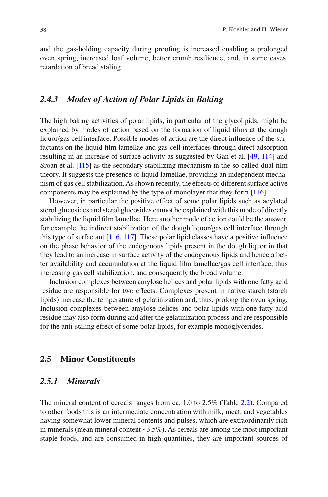and the gas-holding capacity during proofing is increased enabling a prolonged oven spring, increased loaf volume, better crumb resilience, and, in some cases, retardation of bread staling.

# *2.4.3 Modes of Action of Polar Lipids in Baking*

 The high baking activities of polar lipids, in particular of the glycolipids, might be explained by modes of action based on the formation of liquid films at the dough liquor/gas cell interface. Possible modes of action are the direct influence of the surfactants on the liquid film lamellae and gas cell interfaces through direct adsorption resulting in an increase of surface activity as suggested by Gan et al. [49, 114] and Sroan et al.  $[115]$  as the secondary stabilizing mechanism in the so-called dual film theory. It suggests the presence of liquid lamellae, providing an independent mechanism of gas cell stabilization. As shown recently, the effects of different surface active components may be explained by the type of monolayer that they form [116].

 However, in particular the positive effect of some polar lipids such as acylated sterol glucosides and sterol glucosides cannot be explained with this mode of directly stabilizing the liquid film lamellae. Here another mode of action could be the answer, for example the indirect stabilization of the dough liquor/gas cell interface through this type of surfactant  $[116, 117]$ . These polar lipid classes have a positive influence on the phase behavior of the endogenous lipids present in the dough liquor in that they lead to an increase in surface activity of the endogenous lipids and hence a better availability and accumulation at the liquid film lamellae/gas cell interface, thus increasing gas cell stabilization, and consequently the bread volume.

 Inclusion complexes between amylose helices and polar lipids with one fatty acid residue are responsible for two effects. Complexes present in native starch (starch lipids) increase the temperature of gelatinization and, thus, prolong the oven spring. Inclusion complexes between amylose helices and polar lipids with one fatty acid residue may also form during and after the gelatinization process and are responsible for the anti-staling effect of some polar lipids, for example monoglycerides.

### **2.5 Minor Constituents**

# *2.5.1 Minerals*

The mineral content of cereals ranges from ca. 1.0 to 2.5% (Table [2.2](#page-2-0)). Compared to other foods this is an intermediate concentration with milk, meat, and vegetables having somewhat lower mineral contents and pulses, which are extraordinarily rich in minerals (mean mineral content  $\sim$ 3.5%). As cereals are among the most important staple foods, and are consumed in high quantities, they are important sources of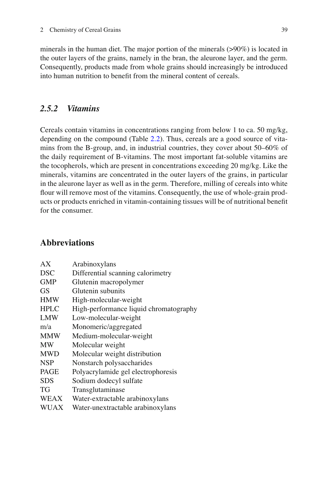minerals in the human diet. The major portion of the minerals (>90%) is located in the outer layers of the grains, namely in the bran, the aleurone layer, and the germ. Consequently, products made from whole grains should increasingly be introduced into human nutrition to benefit from the mineral content of cereals.

### *2.5.2 Vitamins*

 Cereals contain vitamins in concentrations ranging from below 1 to ca. 50 mg/kg, depending on the compound (Table 2.2). Thus, cereals are a good source of vitamins from the B-group, and, in industrial countries, they cover about 50–60% of the daily requirement of B-vitamins. The most important fat-soluble vitamins are the tocopherols, which are present in concentrations exceeding 20 mg/kg. Like the minerals, vitamins are concentrated in the outer layers of the grains, in particular in the aleurone layer as well as in the germ. Therefore, milling of cereals into white flour will remove most of the vitamins. Consequently, the use of whole-grain products or products enriched in vitamin-containing tissues will be of nutritional benefit for the consumer.

# **Abbreviations**

| AX          | Arabinoxylans                          |
|-------------|----------------------------------------|
| <b>DSC</b>  | Differential scanning calorimetry      |
| <b>GMP</b>  | Glutenin macropolymer                  |
| GS          | Glutenin subunits                      |
| <b>HMW</b>  | High-molecular-weight                  |
| <b>HPLC</b> | High-performance liquid chromatography |
| <b>LMW</b>  | Low-molecular-weight                   |
| m/a         | Monomeric/aggregated                   |
| <b>MMW</b>  | Medium-molecular-weight                |
| MW          | Molecular weight                       |
| <b>MWD</b>  | Molecular weight distribution          |
| <b>NSP</b>  | Nonstarch polysaccharides              |
| <b>PAGE</b> | Polyacrylamide gel electrophoresis     |
| <b>SDS</b>  | Sodium dodecyl sulfate                 |
| TG          | Transglutaminase                       |
| WEAX        | Water-extractable arabinoxylans        |
| <b>WUAX</b> | Water-unextractable arabinoxylans      |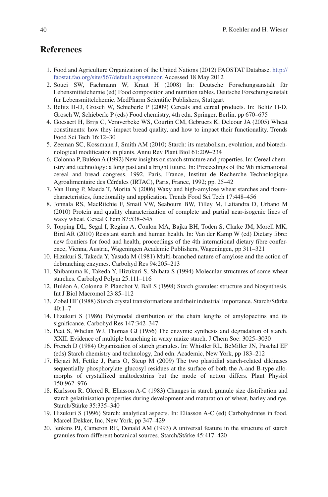# <span id="page-29-0"></span> **References**

- 1. Food and Agriculture Organization of the United Nations (2012) FAOSTAT Database. [http://](http://faostat.fao.org/site/567/default.aspx#ancor) [faostat.fao.org/site/567/default.aspx#ancor](http://faostat.fao.org/site/567/default.aspx#ancor). Accessed 18 May 2012
- 2. Souci SW, Fachmann W, Kraut H (2008) In: Deutsche Forschungsanstalt für Lebensmittelchemie (ed) Food composition and nutrition tables. Deutsche Forschungsanstalt für Lebensmittelchemie. MedPharm Scientific Publishers, Stuttgart
- 3. Belitz H-D, Grosch W, Schieberle P (2009) Cereals and cereal products. In: Belitz H-D, Grosch W, Schieberle P (eds) Food chemistry, 4th edn. Springer, Berlin, pp 670–675
- 4. Goesaert H, Brijs C, Veraverbeke WS, Courtin CM, Gebruers K, Delcour JA (2005) Wheat constituents: how they impact bread quality, and how to impact their functionality. Trends Food Sci Tech 16:12–30
- 5. Zeeman SC, Kossmann J, Smith AM (2010) Starch: its metabolism, evolution, and biotechnological modification in plants. Annu Rev Plant Biol 61:209–234
- 6. Colonna P, Buléon A (1992) New insights on starch structure and properties. In: Cereal chemistry and technology: a long past and a bright future. In: Proceedings of the 9th international cereal and bread congress, 1992, Paris, France, Institut de Recherche Technologique Agroalimentaire des Céréales (IRTAC), Paris, France, 1992; pp. 25–42
- 7. Van Hung P, Maeda T, Morita N (2006) Waxy and high-amylose wheat starches and flourscharacteristics, functionality and application. Trends Food Sci Tech 17:448–456
- 8. Jonnala RS, MacRitchie F, Smail VW, Seabourn BW, Tilley M, Lafiandra D, Urbano M (2010) Protein and quality characterization of complete and partial near-isogenic lines of waxy wheat. Cereal Chem 87:538–545
- 9. Topping DL, Segal I, Regina A, Conlon MA, Bajka BH, Toden S, Clarke JM, Morell MK, Bird AR (2010) Resistant starch and human health. In: Van der Kamp W (ed) Dietary fibre: new frontiers for food and health, proceedings of the 4th international dietary fibre conference, Vienna, Austria, Wageningen Academic Publishers, Wageningen, pp 311–321
- 10. Hizukuri S, Takeda Y, Yasuda M (1981) Multi-branched nature of amylose and the action of debranching enzymes. Carbohyd Res 94:205–213
- 11. Shibanuma K, Takeda Y, Hizukuri S, Shibata S (1994) Molecular structures of some wheat starches. Carbohyd Polym 25:111–116
- 12. Buléon A, Colonna P, Planchot V, Ball S (1998) Starch granules: structure and biosynthesis. Int J Biol Macromol 23:85–112
- 13. Zobel HF (1988) Starch crystal transformations and their industrial importance. Starch/Stärke 40:1–7
- 14. Hizukuri S (1986) Polymodal distribution of the chain lengths of amylopectins and its significance. Carbohyd Res 147:342-347
- 15. Peat S, Whelan WJ, Thomas GJ (1956) The enzymic synthesis and degradation of starch. XXII. Evidence of multiple branching in waxy maize starch. J Chem Soc: 3025–3030
- 16. French D (1984) Organization of starch granules. In: Whistler RL, BeMiller JN, Paschal EF (eds) Starch chemistry and technology, 2nd edn. Academic, New York, pp 183–212
- 17. Hejazi M, Fettke J, Paris O, Steup M (2009) The two plastidial starch-related dikinases sequentially phosphorylate glucosyl residues at the surface of both the A-and B-type allomorphs of crystallized maltodextrins but the mode of action differs. Plant Physiol 150:962–976
- 18. Karlsson R, Olered R, Eliasson A-C (1983) Changes in starch granule size distribution and starch gelatinisation properties during development and maturation of wheat, barley and rye. Starch/Stärke 35:335–340
- 19. Hizukuri S (1996) Starch: analytical aspects. In: Eliasson A-C (ed) Carbohydrates in food. Marcel Dekker, Inc, New York, pp 347–429
- 20. Jenkins PJ, Cameron RE, Donald AM (1993) A universal feature in the structure of starch granules from different botanical sources. Starch/Stärke 45:417–420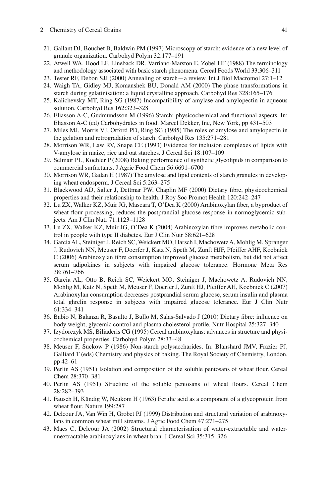#### <span id="page-30-0"></span>2 Chemistry of Cereal Grains 41

- 21. Gallant DJ, Bouchet B, Baldwin PM (1997) Microscopy of starch: evidence of a new level of granule organization. Carbohyd Polym 32:177–191
- 22. Atwell WA, Hood LF, Lineback DR, Varriano-Marston E, Zobel HF (1988) The terminology and methodology associated with basic starch phenomena. Cereal Foods World 33:306–311
- 23. Tester RF, Debon SJJ (2000) Annealing of starch—a review. Int J Biol Macromol 27:1–12
- 24. Waigh TA, Gidley MJ, Komanshek BU, Donald AM (2000) The phase transformations in starch during gelatinisation: a liquid crystalline approach. Carbohyd Res 328:165–176
- 25. Kalichevsky MT, Ring SG (1987) Incompatibility of amylase and amylopectin in aqueous solution. Carbohyd Res 162:323–328
- 26. Eliasson A-C, Gudmundsson M (1996) Starch: physicochemical and functional aspects. In: Eliasson A-C (ed) Carbohydrates in food. Marcel Dekker, Inc, New York, pp 431–503
- 27. Miles MJ, Morris VJ, Orford PD, Ring SG (1985) The roles of amylose and amylopectin in the gelation and retrogradation of starch. Carbohyd Res 135:271–281
- 28. Morrison WR, Law RV, Snape CE (1993) Evidence for inclusion complexes of lipids with V-amylose in maize, rice and oat starches. J Cereal Sci 18:107–109
- 29. Selmair PL, Koehler P (2008) Baking performance of synthetic glycolipids in comparison to commercial surfactants. J Agric Food Chem 56:6691–6700
- 30. Morrison WR, Gadan H (1987) The amylose and lipid contents of starch granules in developing wheat endosperm. J Cereal Sci 5:263–275
- 31. Blackwood AD, Salter J, Dettmar PW, Chaplin MF (2000) Dietary fibre, physicochemical properties and their relationship to health. J Roy Soc Promot Health 120:242–247
- 32. Lu ZX, Walker KZ, Muir JG, Mascara T, O'Dea K (2000) Arabinoxylan fi ber, a byproduct of wheat flour processing, reduces the postprandial glucose response in normoglycemic subjects. Am J Clin Nutr 71:1123–1128
- 33. Lu ZX, Walker KZ, Muir JG, O'Dea K (2004) Arabinoxylan fibre improves metabolic control in people with type II diabetes. Eur J Clin Nutr 58:621–628
- 34. Garcia AL, Steiniger J, Reich SC, Weickert MO, Harsch I, Machowetz A, Mohlig M, Spranger J, Rudovich NN, Meuser F, Doerfer J, Katz N, Speth M, Zunft HJF, Pfeiffer AHF, Koebnick C (2006) Arabinoxylan fibre consumption improved glucose metabolism, but did not affect serum adipokines in subjects with impaired glucose tolerance. Hormone Meta Res 38:761–766
- 35. Garcia AL, Otto B, Reich SC, Weickert MO, Steiniger J, Machowetz A, Rudovich NN, Mohlig M, Katz N, Speth M, Meuser F, Doerfer J, Zunft HJ, Pfeiffer AH, Koebnick C (2007) Arabinoxylan consumption decreases postprandial serum glucose, serum insulin and plasma total ghrelin response in subjects with impaired glucose tolerance. Eur J Clin Nutr 61:334–341
- 36. Babio N, Balanza R, Basulto J, Bullo M, Salas-Salvado J (2010) Dietary fibre: influence on body weight, glycemic control and plasma cholesterol profile. Nutr Hospital 25:327–340
- 37. Izydorczyk MS, Biliaderis CG (1995) Cereal arabinoxylans: advances in structure and physicochemical properties. Carbohyd Polym 28:33–48
- 38. Meuser F, Suckow P (1986) Non-starch polysaccharides. In: Blanshard JMV, Frazier PJ, Galliard T (eds) Chemistry and physics of baking. The Royal Society of Chemistry, London, pp 42–61
- 39. Perlin AS (1951) Isolation and composition of the soluble pentosans of wheat flour. Cereal Chem 28:370–381
- 40. Perlin AS (1951) Structure of the soluble pentosans of wheat flours. Cereal Chem 28:282–393
- 41. Fausch H, Kündig W, Neukom H (1963) Ferulic acid as a component of a glycoprotein from wheat flour. Nature 199:287
- 42. Delcour JA, Van Win H, Grobet PJ (1999) Distribution and structural variation of arabinoxylans in common wheat mill streams. J Agric Food Chem 47:271–275
- 43. Maes C, Delcour JA (2002) Structural characterisation of water-extractable and waterunextractable arabinoxylans in wheat bran. J Cereal Sci 35:315–326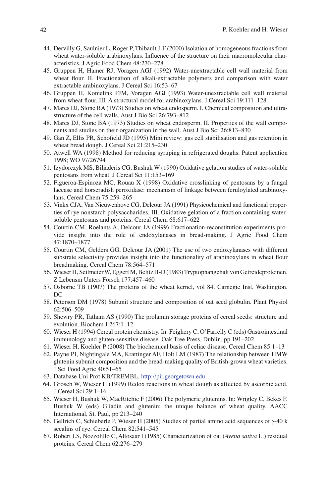- <span id="page-31-0"></span> 44. Dervilly G, Saulnier L, Roger P, Thibault J-F (2000) Isolation of homogeneous fractions from wheat water-soluble arabinoxylans. Influence of the structure on their macromolecular characteristics. J Agric Food Chem 48:270–278
- 45. Gruppen H, Hamer RJ, Voragen AGJ (1992) Water-unextractable cell wall material from wheat flour. II. Fractionation of alkali-extractable polymers and comparison with water extractable arabinoxylans. J Cereal Sci 16:53–67
- 46. Gruppen H, Komelink FJM, Voragen AGJ (1993) Water-unextractable cell wall material from wheat flour. III. A structural model for arabinoxylans. J Cereal Sci 19:111-128
- 47. Mares DJ, Stone BA (1973) Studies on wheat endosperm. I. Chemical composition and ultrastructure of the cell walls. Aust J Bio Sci 26:793–812
- 48. Mares DJ, Stone BA (1973) Studies on wheat endosperm. II. Properties of the wall components and studies on their organization in the wall. Aust J Bio Sci 26:813–830
- 49. Gan Z, Ellis PR, Schofield JD (1995) Mini review: gas cell stabilisation and gas retention in wheat bread dough. J Cereal Sci 21:215–230
- 50. Atwell WA (1998) Method for reducing syruping in refrigerated doughs. Patent application 1998; WO 97/26794
- 51. Izydorczyk MS, Biliaderis CG, Bushuk W (1990) Oxidative gelation studies of water-soluble pentosans from wheat. J Cereal Sci 11:153–169
- 52. Figueroa-Espinoza MC, Rouau X (1998) Oxidative crosslinking of pentosans by a fungal laccase and horseradish peroxidase: mechanism of linkage between feruloylated arabinoxylans. Cereal Chem 75:259–265
- 53. Vinkx CJA, Van Nieuwenhove CG, Delcour JA (1991) Physicochemical and functional properties of rye nonstarch polysaccharides. III. Oxidative gelation of a fraction containing watersoluble pentosans and proteins. Cereal Chem 68:617–622
- 54. Courtin CM, Roelants A, Delcour JA (1999) Fractionation-reconstitution experiments provide insight into the role of endoxylanases in bread-making. J Agric Food Chem 47:1870–1877
- 55. Courtin CM, Gelders GG, Delcour JA (2001) The use of two endoxylanases with different substrate selectivity provides insight into the functionality of arabinoxylans in wheat flour breadmaking. Cereal Chem 78:564–571
- 56. Wieser H, Seilmeier W, Eggert M, Belitz H-D (1983) Tryptophangehalt von Getreideproteinen. Z Lebensm Unters Forsch 177:457–460
- 57. Osborne TB (1907) The proteins of the wheat kernel, vol 84. Carnegie Inst, Washington, DC
- 58. Peterson DM (1978) Subunit structure and composition of oat seed globulin. Plant Physiol 62:506–509
- 59. Shewry PR, Tatham AS (1990) The prolamin storage proteins of cereal seeds: structure and evolution. Biochem J 267:1–12
- 60. Wieser H (1994) Cereal protein chemistry. In: Feighery C, O'Farrelly C (eds) Gastrointestinal immunology and gluten-sensitive disease. Oak Tree Press, Dublin, pp 191–202
- 61. Wieser H, Koehler P (2008) The biochemical basis of celiac disease. Cereal Chem 85:1–13
- 62. Payne PI, Nightingale MA, Krattinger AF, Holt LM (1987) The relationship between HMW glutenin subunit composition and the bread-making quality of British-grown wheat varieties. J Sci Food Agric 40:51–65
- 63. Database Uni Prot KB/TREMBL.<http://pir.georgetown.edu>
- 64. Grosch W, Wieser H (1999) Redox reactions in wheat dough as affected by ascorbic acid. J Cereal Sci 29:1–16
- 65. Wieser H, Bushuk W, MacRitchie F (2006) The polymeric glutenins. In: Wrigley C, Bekes F, Bushuk W (eds) Gliadin and glutenin: the unique balance of wheat quality. AACC International, St. Paul, pp 213–240
- 66. Gellrich C, Schieberle P, Wieser H (2005) Studies of partial amino acid sequences of  $\gamma$ -40 k secalins of rye. Cereal Chem 82:541–545
- 67. Robert LS, Nozzolillo C, Altosaar I (1985) Characterization of oat ( *Avena sativa* L.) residual proteins. Cereal Chem 62:276–279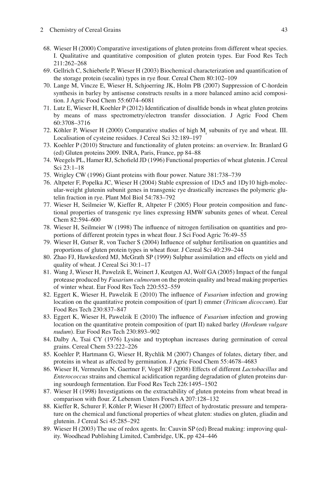- <span id="page-32-0"></span> 68. Wieser H (2000) Comparative investigations of gluten proteins from different wheat species. I. Qualitative and quantitative composition of gluten protein types. Eur Food Res Tech 211:262–268
- 69. Gellrich C, Schieberle P, Wieser H (2003) Biochemical characterization and quantification of the storage protein (secalin) types in rye flour. Cereal Chem 80:102–109
- 70. Lange M, Vincze E, Wieser H, Schjoerring JK, Holm PB (2007) Suppression of C-hordein synthesis in barley by antisense constructs results in a more balanced amino acid composition. J Agric Food Chem 55:6074–6081
- 71. Lutz E, Wieser H, Koehler P (2012) Identification of disulfide bonds in wheat gluten proteins by means of mass spectrometry/electron transfer dissociation. J Agric Food Chem 60:3708–3716
- 72. Köhler P, Wieser H (2000) Comparative studies of high  $M_r$  subunits of rye and wheat. III. Localisation of cysteine residues. J Cereal Sci 32:189–197
- 73. Koehler P (2010) Structure and functionality of gluten proteins: an overview. In: Branlard G (ed) Gluten proteins 2009. INRA, Paris, France, pp 84–88
- 74. Weegels PL, Hamer RJ, Schofield JD (1996) Functional properties of wheat glutenin. J Cereal Sci 23:1–18
- 75. Wrigley CW (1996) Giant proteins with flour power. Nature 381:738–739
- 76. Altpeter F, Popelka JC, Wieser H (2004) Stable expression of 1Dx5 and 1Dy10 high-molecular-weight glutenin subunit genes in transgenic rye drastically increases the polymeric glutelin fraction in rye. Plant Mol Biol 54:783–792
- 77. Wieser H, Seilmeier W, Kieffer R, Altpeter F (2005) Flour protein composition and functional properties of transgenic rye lines expressing HMW subunits genes of wheat. Cereal Chem 82:594–600
- 78. Wieser H, Seilmeier W (1998) The influence of nitrogen fertilisation on quantities and proportions of different protein types in wheat flour. J Sci Food Agric 76:49–55
- 79. Wieser H, Gutser R, von Tucher S (2004) Influence of sulphur fertilisation on quantities and proportions of gluten protein types in wheat flour. J Cereal Sci 40:239–244
- 80. Zhao FJ, Hawkesford MJ, McGrath SP (1999) Sulphur assimilation and effects on yield and quality of wheat. J Cereal Sci 30:1–17
- 81. Wang J, Wieser H, Pawelzik E, Weinert J, Keutgen AJ, Wolf GA (2005) Impact of the fungal protease produced by *Fusarium culmorum* on the protein quality and bread making properties of winter wheat. Eur Food Res Tech 220:552–559
- 82. Eggert K, Wieser H, Pawelzik E (2010) The influence of *Fusarium* infection and growing location on the quantitative protein composition of (part I) emmer (*Triticum dicoccum*). Eur Food Res Tech 230:837–847
- 83. Eggert K, Wieser H, Pawelzik E (2010) The influence of *Fusarium* infection and growing location on the quantitative protein composition of (part II) naked barley (*Hordeum vulgare nudum* ). Eur Food Res Tech 230:893–902
- 84. Dalby A, Tsai CY (1976) Lysine and tryptophan increases during germination of cereal grains. Cereal Chem 53:222–226
- 85. Koehler P, Hartmann G, Wieser H, Rychlik M (2007) Changes of folates, dietary fiber, and proteins in wheat as affected by germination. J Agric Food Chem 55:4678–4683
- 86. Wieser H, Vermeulen N, Gaertner F, Vogel RF (2008) Effects of different *Lactobacillus* and *Enterococcus* strains and chemical acidification regarding degradation of gluten proteins during sourdough fermentation. Eur Food Res Tech 226:1495–1502
- 87. Wieser H (1998) Investigations on the extractability of gluten proteins from wheat bread in comparison with flour. Z Lebensm Unters Forsch A 207:128-132
- 88. Kieffer R, Schurer F, Köhler P, Wieser H (2007) Effect of hydrostatic pressure and temperature on the chemical and functional properties of wheat gluten: studies on gluten, gliadin and glutenin. J Cereal Sci 45:285–292
- 89. Wieser H (2003) The use of redox agents. In: Cauvin SP (ed) Bread making: improving quality. Woodhead Publishing Limited, Cambridge, UK, pp 424–446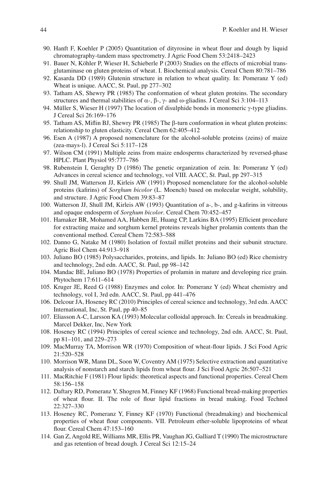- <span id="page-33-0"></span>90. Hanft F, Koehler P (2005) Quantitation of dityrosine in wheat flour and dough by liquid chromatography-tandem mass spectrometry. J Agric Food Chem 53:2418–2423
- 91. Bauer N, Köhler P, Wieser H, Schieberle P (2003) Studies on the effects of microbial transglutaminase on gluten proteins of wheat. I. Biochemical analysis. Cereal Chem 80:781–786
- 92. Kasarda DD (1989) Glutenin structure in relation to wheat quality. In: Pomeranz Y (ed) Wheat is unique. AACC, St. Paul, pp 277–302
- 93. Tatham AS, Shewry PR (1985) The conformation of wheat gluten proteins. The secondary structures and thermal stabilities of  $\alpha$ -,  $\beta$ -,  $\gamma$ - and  $\omega$ -gliadins. J Cereal Sci 3:104–113
- 94. Müller S, Wieser H (1997) The location of disulphide bonds in monomeric  $\gamma$ -type gliadins. J Cereal Sci 26:169–176
- 95. Tatham AS, Miflin BJ, Shewry PR (1985) The  $\beta$ -turn conformation in wheat gluten proteins: relationship to gluten elasticity. Cereal Chem 62:405–412
- 96. Esen A (1987) A proposed nomenclature for the alcohol-soluble proteins (zeins) of maize (zea-mays-l). J Cereal Sci 5:117–128
- 97. Wilson CM (1991) Multiple zeins from maize endosperms characterized by reversed-phase HPLC. Plant Physiol 95:777–786
- 98. Rubenstein I, Geraghty D (1986) The genetic organization of zein. In: Pomeranz Y (ed) Advances in cereal science and technology, vol VIII. AACC, St. Paul, pp 297–315
- 99. Shull JM, Watterson JJ, Kirleis AW (1991) Proposed nomenclature for the alcohol-soluble proteins (kafirins) of *Sorghum bicolor* (L. Moench) based on molecular weight, solubility, and structure. J Agric Food Chem 39:83–87
- 100. Watterson JJ, Shull JM, Kirleis AW (1993) Quantitation of a-, b-, and g-kafirins in vitreous and opaque endosperm of *Sorghum bicolor* . Cereal Chem 70:452–457
- 101. Hamaker BR, Mohamed AA, Habben JE, Huang CP, Larkins BA (1995) Efficient procedure for extracting maize and sorghum kernel proteins reveals higher prolamin contents than the conventional method. Cereal Chem 72:583–588
- 102. Danno G, Natake M (1980) Isolation of foxtail millet proteins and their subunit structure. Agric Biol Chem 44:913–918
- 103. Juliano BO (1985) Polysaccharides, proteins, and lipids. In: Juliano BO (ed) Rice chemistry and technology, 2nd edn. AACC, St. Paul, pp 98–142
- 104. Mandac BE, Juliano BO (1978) Properties of prolamin in mature and developing rice grain. Phytochem 17:611–614
- 105. Kruger JE, Reed G (1988) Enzymes and color. In: Pomeranz Y (ed) Wheat chemistry and technology, vol I, 3rd edn. AACC, St. Paul, pp 441–476
- 106. Delcour JA, Hoseney RC (2010) Principles of cereal science and technology, 3rd edn. AACC International, Inc, St. Paul, pp 40–85
- 107. Eliasson A-C, Larsson KA (1993) Molecular colloidal approach. In: Cereals in breadmaking. Marcel Dekker, Inc, New York
- 108. Hoseney RC (1994) Principles of cereal science and technology, 2nd edn. AACC, St. Paul, pp 81–101, and 229–273
- 109. MacMurray TA, Morrison WR (1970) Composition of wheat-flour lipids. J Sci Food Agric 21:520–528
- 110. Morrison WR, Mann DL, Soon W, Coventry AM (1975) Selective extraction and quantitative analysis of nonstarch and starch lipids from wheat flour. J Sci Food Agric 26:507–521
- 111. MacRitchie F (1981) Flour lipids: theoretical aspects and functional properties. Cereal Chem 58:156–158
- 112. Daftary RD, Pomeranz Y, Shogren M, Finney KF (1968) Functional bread-making properties of wheat flour. II. The role of flour lipid fractions in bread making. Food Technol 22:327–330
- 113. Hoseney RC, Pomeranz Y, Finney KF (1970) Functional (breadmaking) and biochemical properties of wheat flour components. VII. Petroleum ether-soluble lipoproteins of wheat flour. Cereal Chem 47:153-160
- 114. Gan Z, Angold RE, Williams MR, Ellis PR, Vaughan JG, Galliard T (1990) The microstructure and gas retention of bread dough. J Cereal Sci 12:15–24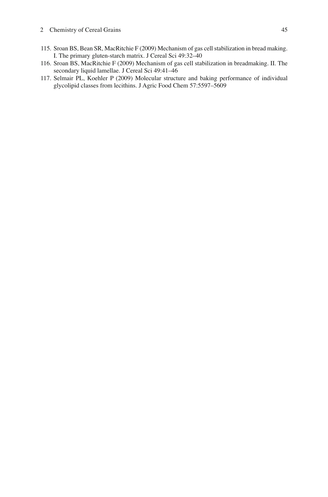#### <span id="page-34-0"></span>2 Chemistry of Cereal Grains 45

- 115. Sroan BS, Bean SR, MacRitchie F (2009) Mechanism of gas cell stabilization in bread making. I. The primary gluten-starch matrix. J Cereal Sci 49:32–40
- 116. Sroan BS, MacRitchie F (2009) Mechanism of gas cell stabilization in breadmaking. II. The secondary liquid lamellae. J Cereal Sci 49:41–46
- 117. Selmair PL, Koehler P (2009) Molecular structure and baking performance of individual glycolipid classes from lecithins. J Agric Food Chem 57:5597–5609